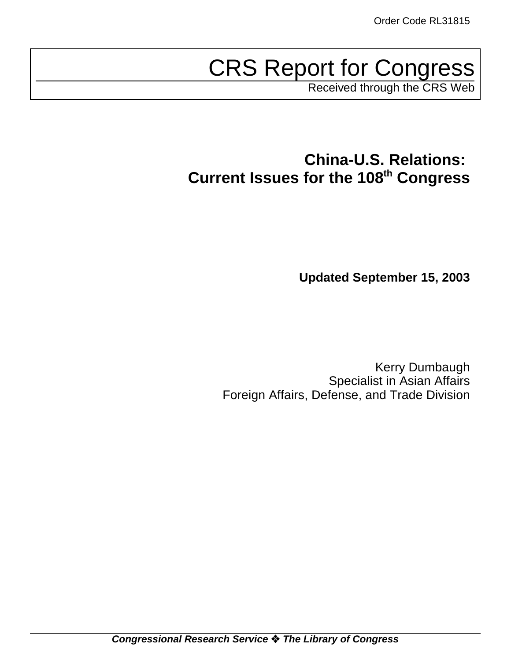# CRS Report for Congress

Received through the CRS Web

# **China-U.S. Relations: Current Issues for the 108th Congress**

**Updated September 15, 2003**

Kerry Dumbaugh Specialist in Asian Affairs Foreign Affairs, Defense, and Trade Division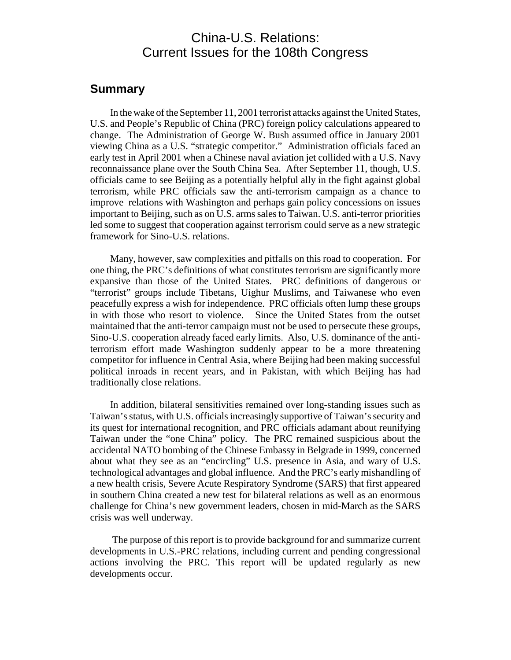### China-U.S. Relations: Current Issues for the 108th Congress

### **Summary**

In the wake of the September 11, 2001 terrorist attacks against the United States, U.S. and People's Republic of China (PRC) foreign policy calculations appeared to change. The Administration of George W. Bush assumed office in January 2001 viewing China as a U.S. "strategic competitor." Administration officials faced an early test in April 2001 when a Chinese naval aviation jet collided with a U.S. Navy reconnaissance plane over the South China Sea. After September 11, though, U.S. officials came to see Beijing as a potentially helpful ally in the fight against global terrorism, while PRC officials saw the anti-terrorism campaign as a chance to improve relations with Washington and perhaps gain policy concessions on issues important to Beijing, such as on U.S. arms sales to Taiwan. U.S. anti-terror priorities led some to suggest that cooperation against terrorism could serve as a new strategic framework for Sino-U.S. relations.

Many, however, saw complexities and pitfalls on this road to cooperation. For one thing, the PRC's definitions of what constitutes terrorism are significantly more expansive than those of the United States. PRC definitions of dangerous or "terrorist" groups include Tibetans, Uighur Muslims, and Taiwanese who even peacefully express a wish for independence. PRC officials often lump these groups in with those who resort to violence. Since the United States from the outset maintained that the anti-terror campaign must not be used to persecute these groups, Sino-U.S. cooperation already faced early limits. Also, U.S. dominance of the antiterrorism effort made Washington suddenly appear to be a more threatening competitor for influence in Central Asia, where Beijing had been making successful political inroads in recent years, and in Pakistan, with which Beijing has had traditionally close relations.

In addition, bilateral sensitivities remained over long-standing issues such as Taiwan's status, with U.S. officials increasingly supportive of Taiwan's security and its quest for international recognition, and PRC officials adamant about reunifying Taiwan under the "one China" policy. The PRC remained suspicious about the accidental NATO bombing of the Chinese Embassy in Belgrade in 1999, concerned about what they see as an "encircling" U.S. presence in Asia, and wary of U.S. technological advantages and global influence. And the PRC's early mishandling of a new health crisis, Severe Acute Respiratory Syndrome (SARS) that first appeared in southern China created a new test for bilateral relations as well as an enormous challenge for China's new government leaders, chosen in mid-March as the SARS crisis was well underway.

The purpose of this report is to provide background for and summarize current developments in U.S.-PRC relations, including current and pending congressional actions involving the PRC. This report will be updated regularly as new developments occur.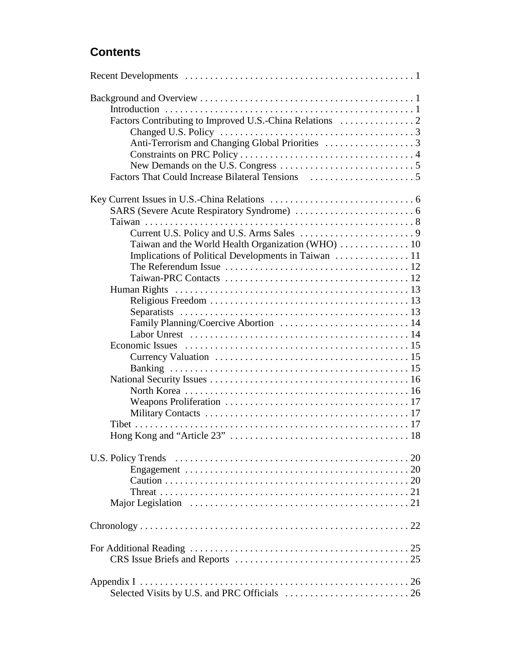### **Contents**

| Family Planning/Coercive Abortion  14 |  |
|---------------------------------------|--|
|                                       |  |
|                                       |  |
|                                       |  |
|                                       |  |
|                                       |  |
|                                       |  |
|                                       |  |
|                                       |  |
|                                       |  |
|                                       |  |
|                                       |  |
|                                       |  |
|                                       |  |
|                                       |  |
|                                       |  |
|                                       |  |
|                                       |  |
|                                       |  |
|                                       |  |
|                                       |  |
|                                       |  |
|                                       |  |
|                                       |  |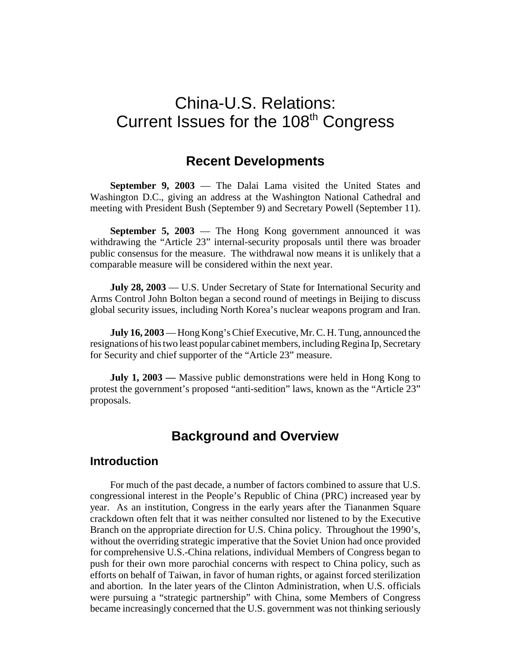# China-U.S. Relations: Current Issues for the 108<sup>th</sup> Congress

### **Recent Developments**

**September 9, 2003** — The Dalai Lama visited the United States and Washington D.C., giving an address at the Washington National Cathedral and meeting with President Bush (September 9) and Secretary Powell (September 11).

**September 5, 2003** — The Hong Kong government announced it was withdrawing the "Article 23" internal-security proposals until there was broader public consensus for the measure. The withdrawal now means it is unlikely that a comparable measure will be considered within the next year.

**July 28, 2003** — U.S. Under Secretary of State for International Security and Arms Control John Bolton began a second round of meetings in Beijing to discuss global security issues, including North Korea's nuclear weapons program and Iran.

**July 16, 2003**— Hong Kong's Chief Executive, Mr. C. H. Tung, announced the resignations of his two least popular cabinet members, including Regina Ip, Secretary for Security and chief supporter of the "Article 23" measure.

**July 1, 2003 —** Massive public demonstrations were held in Hong Kong to protest the government's proposed "anti-sedition" laws, known as the "Article 23" proposals.

### **Background and Overview**

### **Introduction**

For much of the past decade, a number of factors combined to assure that U.S. congressional interest in the People's Republic of China (PRC) increased year by year. As an institution, Congress in the early years after the Tiananmen Square crackdown often felt that it was neither consulted nor listened to by the Executive Branch on the appropriate direction for U.S. China policy. Throughout the 1990's, without the overriding strategic imperative that the Soviet Union had once provided for comprehensive U.S.-China relations, individual Members of Congress began to push for their own more parochial concerns with respect to China policy, such as efforts on behalf of Taiwan, in favor of human rights, or against forced sterilization and abortion. In the later years of the Clinton Administration, when U.S. officials were pursuing a "strategic partnership" with China, some Members of Congress became increasingly concerned that the U.S. government was not thinking seriously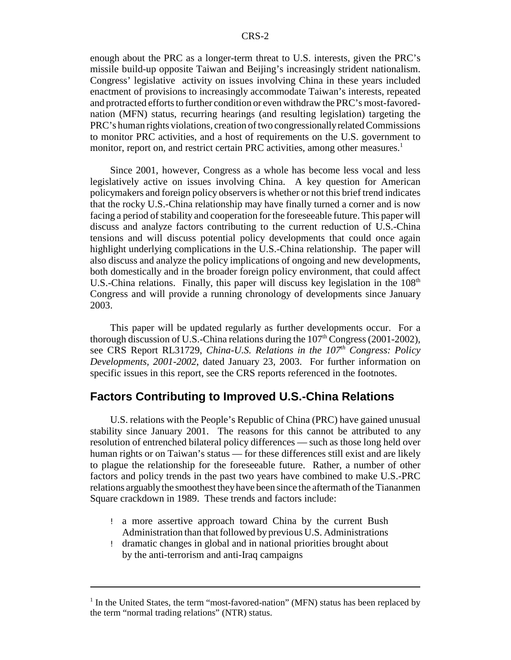enough about the PRC as a longer-term threat to U.S. interests, given the PRC's missile build-up opposite Taiwan and Beijing's increasingly strident nationalism. Congress' legislative activity on issues involving China in these years included enactment of provisions to increasingly accommodate Taiwan's interests, repeated and protracted efforts to further condition or even withdraw the PRC's most-favorednation (MFN) status, recurring hearings (and resulting legislation) targeting the PRC's human rights violations, creation of two congressionallyrelated Commissions to monitor PRC activities, and a host of requirements on the U.S. government to monitor, report on, and restrict certain PRC activities, among other measures.<sup>1</sup>

Since 2001, however, Congress as a whole has become less vocal and less legislatively active on issues involving China. A key question for American policymakers and foreign policy observersis whether or not this brief trend indicates that the rocky U.S.-China relationship may have finally turned a corner and is now facing a period of stability and cooperation for the foreseeable future. This paper will discuss and analyze factors contributing to the current reduction of U.S.-China tensions and will discuss potential policy developments that could once again highlight underlying complications in the U.S.-China relationship. The paper will also discuss and analyze the policy implications of ongoing and new developments, both domestically and in the broader foreign policy environment, that could affect U.S.-China relations. Finally, this paper will discuss key legislation in the  $108<sup>th</sup>$ Congress and will provide a running chronology of developments since January 2003.

This paper will be updated regularly as further developments occur. For a thorough discussion of U.S.-China relations during the  $107<sup>th</sup>$  Congress (2001-2002), see CRS Report RL31729, *China-U.S. Relations in the 107th Congress: Policy Developments, 2001-2002*, dated January 23, 2003. For further information on specific issues in this report, see the CRS reports referenced in the footnotes.

### **Factors Contributing to Improved U.S.-China Relations**

U.S. relations with the People's Republic of China (PRC) have gained unusual stability since January 2001. The reasons for this cannot be attributed to any resolution of entrenched bilateral policy differences — such as those long held over human rights or on Taiwan's status — for these differences still exist and are likely to plague the relationship for the foreseeable future. Rather, a number of other factors and policy trends in the past two years have combined to make U.S.-PRC relations arguablythe smoothest theyhave been since the aftermath of the Tiananmen Square crackdown in 1989. These trends and factors include:

- ! a more assertive approach toward China by the current Bush Administration than that followed by previous U.S. Administrations
- ! dramatic changes in global and in national priorities brought about by the anti-terrorism and anti-Iraq campaigns

 $1$  In the United States, the term "most-favored-nation" (MFN) status has been replaced by the term "normal trading relations" (NTR) status.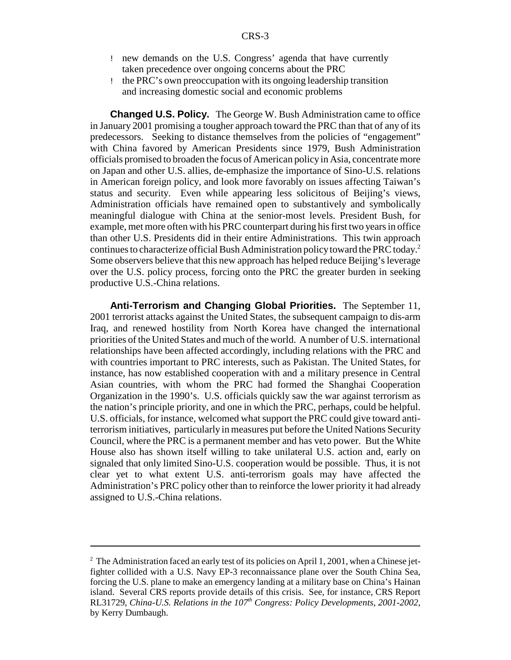- ! new demands on the U.S. Congress' agenda that have currently taken precedence over ongoing concerns about the PRC
- ! the PRC's own preoccupation with its ongoing leadership transition and increasing domestic social and economic problems

**Changed U.S. Policy.** The George W. Bush Administration came to office in January 2001 promising a tougher approach toward the PRC than that of any of its predecessors. Seeking to distance themselves from the policies of "engagement" with China favored by American Presidents since 1979, Bush Administration officials promised to broaden the focus of American policy in Asia, concentrate more on Japan and other U.S. allies, de-emphasize the importance of Sino-U.S. relations in American foreign policy, and look more favorably on issues affecting Taiwan's status and security. Even while appearing less solicitous of Beijing's views, Administration officials have remained open to substantively and symbolically meaningful dialogue with China at the senior-most levels. President Bush, for example, met more often with his PRC counterpart during his first two years in office than other U.S. Presidents did in their entire Administrations. This twin approach continues to characterize official Bush Administration policy toward the PRC today.<sup>2</sup> Some observers believe that this new approach has helped reduce Beijing's leverage over the U.S. policy process, forcing onto the PRC the greater burden in seeking productive U.S.-China relations.

**Anti-Terrorism and Changing Global Priorities.** The September 11, 2001 terrorist attacks against the United States, the subsequent campaign to dis-arm Iraq, and renewed hostility from North Korea have changed the international priorities of the United States and much of the world. A number of U.S. international relationships have been affected accordingly, including relations with the PRC and with countries important to PRC interests, such as Pakistan. The United States, for instance, has now established cooperation with and a military presence in Central Asian countries, with whom the PRC had formed the Shanghai Cooperation Organization in the 1990's. U.S. officials quickly saw the war against terrorism as the nation's principle priority, and one in which the PRC, perhaps, could be helpful. U.S. officials, for instance, welcomed what support the PRC could give toward antiterrorism initiatives, particularly in measures put before the United Nations Security Council, where the PRC is a permanent member and has veto power. But the White House also has shown itself willing to take unilateral U.S. action and, early on signaled that only limited Sino-U.S. cooperation would be possible. Thus, it is not clear yet to what extent U.S. anti-terrorism goals may have affected the Administration's PRC policy other than to reinforce the lower priority it had already assigned to U.S.-China relations.

<sup>&</sup>lt;sup>2</sup> The Administration faced an early test of its policies on April 1, 2001, when a Chinese jetfighter collided with a U.S. Navy EP-3 reconnaissance plane over the South China Sea, forcing the U.S. plane to make an emergency landing at a military base on China's Hainan island. Several CRS reports provide details of this crisis. See, for instance, CRS Report RL31729, *China-U.S. Relations in the 107th Congress: Policy Developments, 2001-2002,* by Kerry Dumbaugh.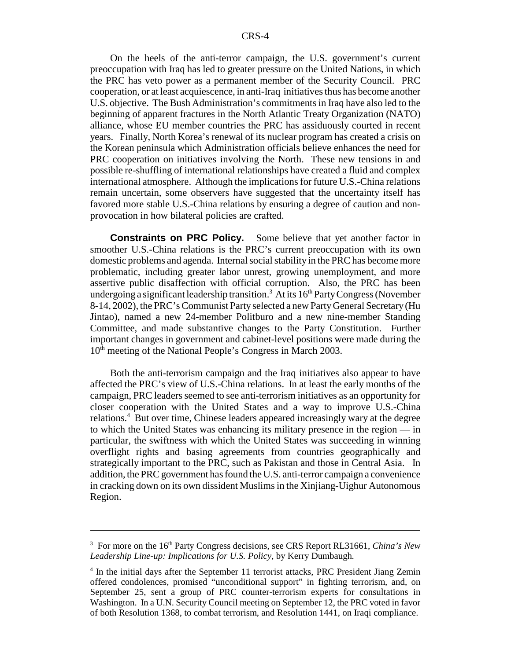On the heels of the anti-terror campaign, the U.S. government's current preoccupation with Iraq has led to greater pressure on the United Nations, in which the PRC has veto power as a permanent member of the Security Council. PRC cooperation, or at least acquiescence, in anti-Iraq initiatives thus has become another U.S. objective. The Bush Administration's commitments in Iraq have also led to the beginning of apparent fractures in the North Atlantic Treaty Organization (NATO) alliance, whose EU member countries the PRC has assiduously courted in recent years. Finally, North Korea's renewal of its nuclear program has created a crisis on the Korean peninsula which Administration officials believe enhances the need for PRC cooperation on initiatives involving the North. These new tensions in and possible re-shuffling of international relationships have created a fluid and complex international atmosphere. Although the implications for future U.S.-China relations remain uncertain, some observers have suggested that the uncertainty itself has favored more stable U.S.-China relations by ensuring a degree of caution and nonprovocation in how bilateral policies are crafted.

**Constraints on PRC Policy.** Some believe that yet another factor in smoother U.S.-China relations is the PRC's current preoccupation with its own domestic problems and agenda. Internal social stability in the PRC has become more problematic, including greater labor unrest, growing unemployment, and more assertive public disaffection with official corruption. Also, the PRC has been undergoing a significant leadership transition.<sup>3</sup> At its  $16<sup>th</sup>$  Party Congress (November 8-14, 2002), the PRC's Communist Party selected a new Party General Secretary (Hu Jintao), named a new 24-member Politburo and a new nine-member Standing Committee, and made substantive changes to the Party Constitution. Further important changes in government and cabinet-level positions were made during the 10<sup>th</sup> meeting of the National People's Congress in March 2003.

Both the anti-terrorism campaign and the Iraq initiatives also appear to have affected the PRC's view of U.S.-China relations. In at least the early months of the campaign, PRC leaders seemed to see anti-terrorism initiatives as an opportunity for closer cooperation with the United States and a way to improve U.S.-China relations.4 But over time, Chinese leaders appeared increasingly wary at the degree to which the United States was enhancing its military presence in the region — in particular, the swiftness with which the United States was succeeding in winning overflight rights and basing agreements from countries geographically and strategically important to the PRC, such as Pakistan and those in Central Asia. In addition, the PRC government has found the U.S. anti-terror campaign a convenience in cracking down on its own dissident Muslims in the Xinjiang-Uighur Autonomous Region.

<sup>&</sup>lt;sup>3</sup> For more on the 16<sup>th</sup> Party Congress decisions, see CRS Report RL31661, *China's New Leadership Line-up: Implications for U.S. Policy,* by Kerry Dumbaugh*.*

<sup>&</sup>lt;sup>4</sup> In the initial days after the September 11 terrorist attacks, PRC President Jiang Zemin offered condolences, promised "unconditional support" in fighting terrorism, and, on September 25, sent a group of PRC counter-terrorism experts for consultations in Washington. In a U.N. Security Council meeting on September 12, the PRC voted in favor of both Resolution 1368, to combat terrorism, and Resolution 1441, on Iraqi compliance.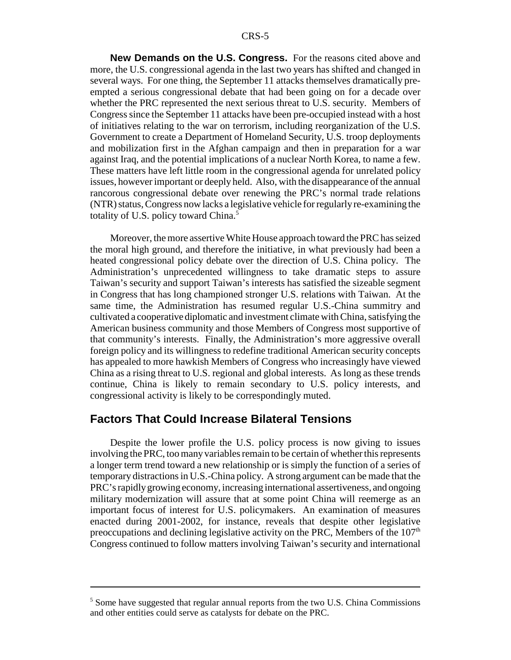**New Demands on the U.S. Congress.** For the reasons cited above and more, the U.S. congressional agenda in the last two years has shifted and changed in several ways. For one thing, the September 11 attacks themselves dramatically preempted a serious congressional debate that had been going on for a decade over whether the PRC represented the next serious threat to U.S. security. Members of Congress since the September 11 attacks have been pre-occupied instead with a host of initiatives relating to the war on terrorism, including reorganization of the U.S. Government to create a Department of Homeland Security, U.S. troop deployments and mobilization first in the Afghan campaign and then in preparation for a war against Iraq, and the potential implications of a nuclear North Korea, to name a few. These matters have left little room in the congressional agenda for unrelated policy issues, however important or deeply held. Also, with the disappearance of the annual rancorous congressional debate over renewing the PRC's normal trade relations (NTR) status, Congress now lacks a legislative vehicle for regularlyre-examining the totality of U.S. policy toward China.<sup>5</sup>

Moreover, the more assertive White House approach toward the PRC has seized the moral high ground, and therefore the initiative, in what previously had been a heated congressional policy debate over the direction of U.S. China policy. The Administration's unprecedented willingness to take dramatic steps to assure Taiwan's security and support Taiwan's interests has satisfied the sizeable segment in Congress that has long championed stronger U.S. relations with Taiwan. At the same time, the Administration has resumed regular U.S.-China summitry and cultivated a cooperative diplomatic and investment climate with China, satisfying the American business community and those Members of Congress most supportive of that community's interests. Finally, the Administration's more aggressive overall foreign policy and its willingness to redefine traditional American security concepts has appealed to more hawkish Members of Congress who increasingly have viewed China as a rising threat to U.S. regional and global interests. As long as these trends continue, China is likely to remain secondary to U.S. policy interests, and congressional activity is likely to be correspondingly muted.

### **Factors That Could Increase Bilateral Tensions**

Despite the lower profile the U.S. policy process is now giving to issues involving the PRC, too many variables remain to be certain of whether this represents a longer term trend toward a new relationship or is simply the function of a series of temporary distractions in U.S.-China policy. A strong argument can be made that the PRC's rapidlygrowing economy, increasing international assertiveness, and ongoing military modernization will assure that at some point China will reemerge as an important focus of interest for U.S. policymakers. An examination of measures enacted during 2001-2002, for instance, reveals that despite other legislative preoccupations and declining legislative activity on the PRC, Members of the  $107<sup>th</sup>$ Congress continued to follow matters involving Taiwan's security and international

<sup>5</sup> Some have suggested that regular annual reports from the two U.S. China Commissions and other entities could serve as catalysts for debate on the PRC.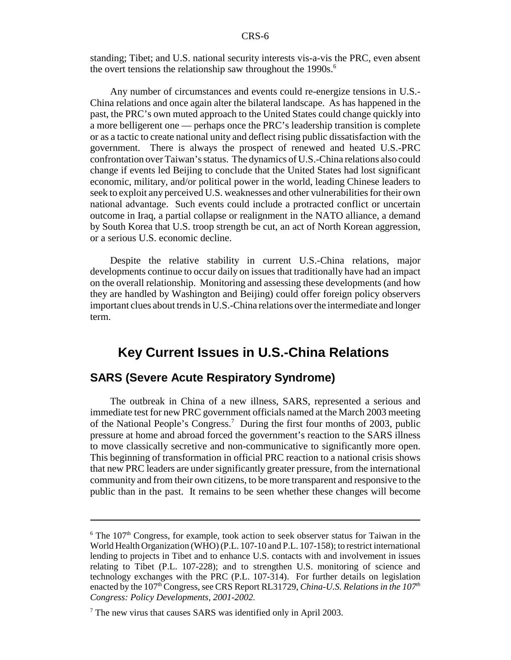standing; Tibet; and U.S. national security interests vis-a-vis the PRC, even absent the overt tensions the relationship saw throughout the  $1990s$ .<sup>6</sup>

Any number of circumstances and events could re-energize tensions in U.S.- China relations and once again alter the bilateral landscape. As has happened in the past, the PRC's own muted approach to the United States could change quickly into a more belligerent one — perhaps once the PRC's leadership transition is complete or as a tactic to create national unity and deflect rising public dissatisfaction with the government. There is always the prospect of renewed and heated U.S.-PRC confrontation over Taiwan's status. The dynamics of U.S.-China relations also could change if events led Beijing to conclude that the United States had lost significant economic, military, and/or political power in the world, leading Chinese leaders to seek to exploit any perceived U.S. weaknesses and other vulnerabilities for their own national advantage. Such events could include a protracted conflict or uncertain outcome in Iraq, a partial collapse or realignment in the NATO alliance, a demand by South Korea that U.S. troop strength be cut, an act of North Korean aggression, or a serious U.S. economic decline.

Despite the relative stability in current U.S.-China relations, major developments continue to occur daily on issues that traditionally have had an impact on the overall relationship. Monitoring and assessing these developments (and how they are handled by Washington and Beijing) could offer foreign policy observers important clues about trends in U.S.-China relations over the intermediate and longer term.

### **Key Current Issues in U.S.-China Relations**

### **SARS (Severe Acute Respiratory Syndrome)**

The outbreak in China of a new illness, SARS, represented a serious and immediate test for new PRC government officials named at the March 2003 meeting of the National People's Congress.<sup>7</sup> During the first four months of 2003, public pressure at home and abroad forced the government's reaction to the SARS illness to move classically secretive and non-communicative to significantly more open. This beginning of transformation in official PRC reaction to a national crisis shows that new PRC leaders are under significantly greater pressure, from the international community and from their own citizens, to be more transparent and responsive to the public than in the past. It remains to be seen whether these changes will become

 $6$  The 107<sup>th</sup> Congress, for example, took action to seek observer status for Taiwan in the World Health Organization (WHO) (P.L. 107-10 and P.L. 107-158); to restrict international lending to projects in Tibet and to enhance U.S. contacts with and involvement in issues relating to Tibet (P.L. 107-228); and to strengthen U.S. monitoring of science and technology exchanges with the PRC (P.L. 107-314). For further details on legislation enacted by the 107<sup>th</sup> Congress, see CRS Report RL31729, *China-U.S. Relations in the 107<sup>th</sup> Congress: Policy Developments, 2001-2002.*

 $<sup>7</sup>$  The new virus that causes SARS was identified only in April 2003.</sup>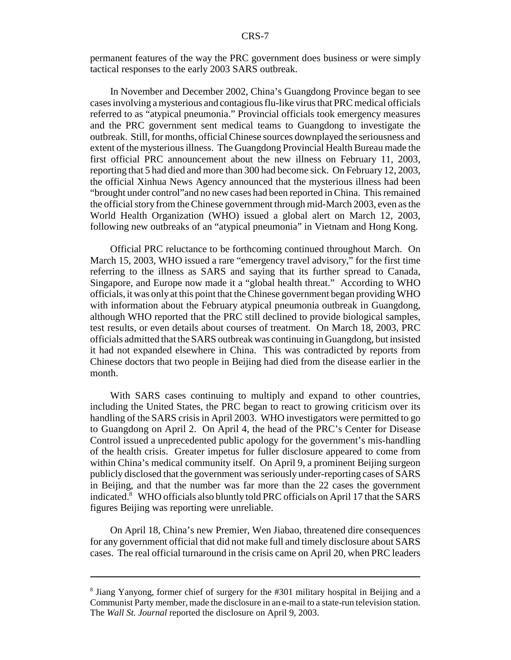permanent features of the way the PRC government does business or were simply tactical responses to the early 2003 SARS outbreak.

In November and December 2002, China's Guangdong Province began to see cases involving a mysterious and contagious flu-like virus that PRC medical officials referred to as "atypical pneumonia." Provincial officials took emergency measures and the PRC government sent medical teams to Guangdong to investigate the outbreak. Still, for months, official Chinese sources downplayed the seriousness and extent of the mysterious illness. The Guangdong Provincial Health Bureau made the first official PRC announcement about the new illness on February 11, 2003, reporting that 5 had died and more than 300 had become sick. On February 12, 2003, the official Xinhua News Agency announced that the mysterious illness had been "brought under control"and no new cases had been reported in China. This remained the official story from the Chinese government through mid-March 2003, even as the World Health Organization (WHO) issued a global alert on March 12, 2003, following new outbreaks of an "atypical pneumonia" in Vietnam and Hong Kong.

Official PRC reluctance to be forthcoming continued throughout March. On March 15, 2003, WHO issued a rare "emergency travel advisory," for the first time referring to the illness as SARS and saying that its further spread to Canada, Singapore, and Europe now made it a "global health threat." According to WHO officials, it was only at this point that the Chinese government began providing WHO with information about the February atypical pneumonia outbreak in Guangdong, although WHO reported that the PRC still declined to provide biological samples, test results, or even details about courses of treatment. On March 18, 2003, PRC officials admitted that the SARS outbreak was continuing in Guangdong, but insisted it had not expanded elsewhere in China. This was contradicted by reports from Chinese doctors that two people in Beijing had died from the disease earlier in the month.

With SARS cases continuing to multiply and expand to other countries, including the United States, the PRC began to react to growing criticism over its handling of the SARS crisis in April 2003. WHO investigators were permitted to go to Guangdong on April 2. On April 4, the head of the PRC's Center for Disease Control issued a unprecedented public apology for the government's mis-handling of the health crisis. Greater impetus for fuller disclosure appeared to come from within China's medical community itself. On April 9, a prominent Beijing surgeon publicly disclosed that the government was seriously under-reporting cases of SARS in Beijing, and that the number was far more than the 22 cases the government indicated.8 WHO officials also bluntly told PRC officials on April 17 that the SARS figures Beijing was reporting were unreliable.

On April 18, China's new Premier, Wen Jiabao, threatened dire consequences for any government official that did not make full and timely disclosure about SARS cases. The real official turnaround in the crisis came on April 20, when PRC leaders

<sup>8</sup> Jiang Yanyong, former chief of surgery for the #301 military hospital in Beijing and a Communist Party member, made the disclosure in an e-mail to a state-run television station. The *Wall St. Journal* reported the disclosure on April 9, 2003.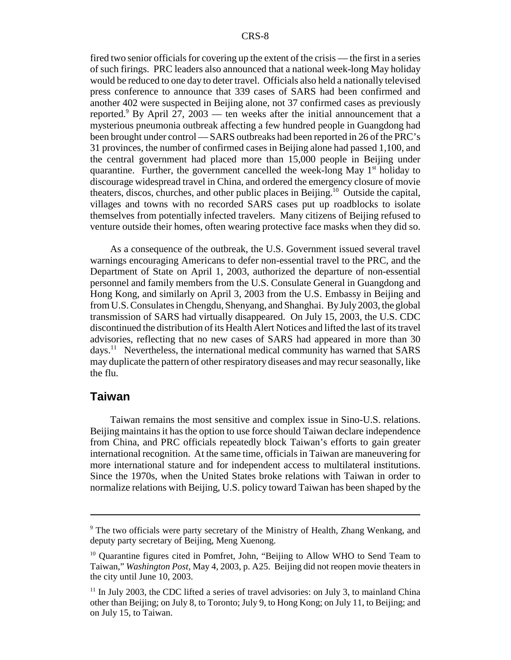fired two senior officials for covering up the extent of the crisis — the first in a series of such firings. PRC leaders also announced that a national week-long May holiday would be reduced to one day to deter travel. Officials also held a nationally televised press conference to announce that 339 cases of SARS had been confirmed and another 402 were suspected in Beijing alone, not 37 confirmed cases as previously reported.<sup>9</sup> By April 27, 2003 — ten weeks after the initial announcement that a mysterious pneumonia outbreak affecting a few hundred people in Guangdong had been brought under control — SARS outbreaks had been reported in 26 of the PRC's 31 provinces, the number of confirmed cases in Beijing alone had passed 1,100, and the central government had placed more than 15,000 people in Beijing under quarantine. Further, the government cancelled the week-long May  $1<sup>st</sup>$  holiday to discourage widespread travel in China, and ordered the emergency closure of movie theaters, discos, churches, and other public places in Beijing.<sup>10</sup> Outside the capital, villages and towns with no recorded SARS cases put up roadblocks to isolate themselves from potentially infected travelers. Many citizens of Beijing refused to venture outside their homes, often wearing protective face masks when they did so.

As a consequence of the outbreak, the U.S. Government issued several travel warnings encouraging Americans to defer non-essential travel to the PRC, and the Department of State on April 1, 2003, authorized the departure of non-essential personnel and family members from the U.S. Consulate General in Guangdong and Hong Kong, and similarly on April 3, 2003 from the U.S. Embassy in Beijing and from U.S. Consulates in Chengdu, Shenyang, and Shanghai. ByJuly2003, the global transmission of SARS had virtually disappeared. On July 15, 2003, the U.S. CDC discontinued the distribution of its Health Alert Notices and lifted the last of its travel advisories, reflecting that no new cases of SARS had appeared in more than 30 days.<sup>11</sup> Nevertheless, the international medical community has warned that SARS may duplicate the pattern of other respiratory diseases and may recur seasonally, like the flu.

#### **Taiwan**

Taiwan remains the most sensitive and complex issue in Sino-U.S. relations. Beijing maintains it has the option to use force should Taiwan declare independence from China, and PRC officials repeatedly block Taiwan's efforts to gain greater international recognition. At the same time, officials in Taiwan are maneuvering for more international stature and for independent access to multilateral institutions. Since the 1970s, when the United States broke relations with Taiwan in order to normalize relations with Beijing, U.S. policy toward Taiwan has been shaped by the

<sup>9</sup> The two officials were party secretary of the Ministry of Health, Zhang Wenkang, and deputy party secretary of Beijing, Meng Xuenong.

<sup>&</sup>lt;sup>10</sup> Ouarantine figures cited in Pomfret, John, "Beijing to Allow WHO to Send Team to Taiwan," *Washington Post*, May 4, 2003, p. A25. Beijing did not reopen movie theaters in the city until June 10, 2003.

 $11$  In July 2003, the CDC lifted a series of travel advisories: on July 3, to mainland China other than Beijing; on July 8, to Toronto; July 9, to Hong Kong; on July 11, to Beijing; and on July 15, to Taiwan.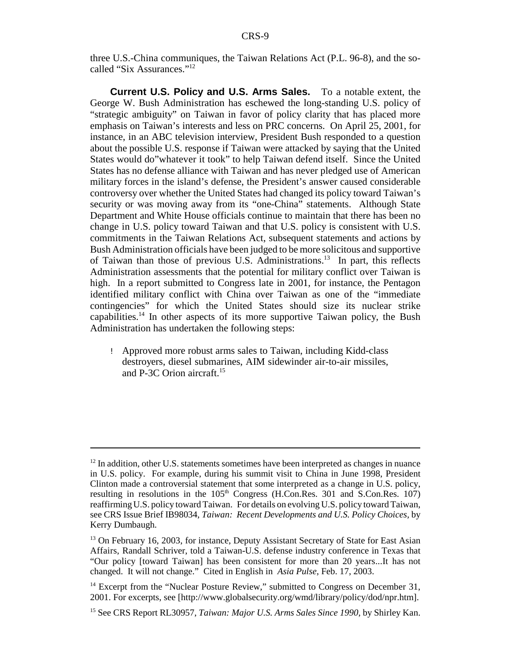three U.S.-China communiques, the Taiwan Relations Act (P.L. 96-8), and the socalled "Six Assurances."12

**Current U.S. Policy and U.S. Arms Sales.** To a notable extent, the George W. Bush Administration has eschewed the long-standing U.S. policy of "strategic ambiguity" on Taiwan in favor of policy clarity that has placed more emphasis on Taiwan's interests and less on PRC concerns. On April 25, 2001, for instance, in an ABC television interview, President Bush responded to a question about the possible U.S. response if Taiwan were attacked by saying that the United States would do"whatever it took" to help Taiwan defend itself. Since the United States has no defense alliance with Taiwan and has never pledged use of American military forces in the island's defense, the President's answer caused considerable controversy over whether the United States had changed its policy toward Taiwan's security or was moving away from its "one-China" statements. Although State Department and White House officials continue to maintain that there has been no change in U.S. policy toward Taiwan and that U.S. policy is consistent with U.S. commitments in the Taiwan Relations Act, subsequent statements and actions by Bush Administration officials have been judged to be more solicitous and supportive of Taiwan than those of previous U.S. Administrations.<sup>13</sup> In part, this reflects Administration assessments that the potential for military conflict over Taiwan is high. In a report submitted to Congress late in 2001, for instance, the Pentagon identified military conflict with China over Taiwan as one of the "immediate contingencies" for which the United States should size its nuclear strike capabilities.<sup>14</sup> In other aspects of its more supportive Taiwan policy, the Bush Administration has undertaken the following steps:

! Approved more robust arms sales to Taiwan, including Kidd-class destroyers, diesel submarines, AIM sidewinder air-to-air missiles, and P-3C Orion aircraft.<sup>15</sup>

 $12$  In addition, other U.S. statements sometimes have been interpreted as changes in nuance in U.S. policy. For example, during his summit visit to China in June 1998, President Clinton made a controversial statement that some interpreted as a change in U.S. policy, resulting in resolutions in the  $105<sup>th</sup>$  Congress (H.Con.Res. 301 and S.Con.Res. 107) reaffirming U.S. policy toward Taiwan. For details on evolving U.S. policy toward Taiwan, see CRS Issue Brief IB98034, *Taiwan: Recent Developments and U.S. Policy Choices,* by Kerry Dumbaugh.

<sup>&</sup>lt;sup>13</sup> On February 16, 2003, for instance, Deputy Assistant Secretary of State for East Asian Affairs, Randall Schriver, told a Taiwan-U.S. defense industry conference in Texas that "Our policy [toward Taiwan] has been consistent for more than 20 years...It has not changed. It will not change." Cited in English in *Asia Pulse*, Feb. 17, 2003.

 $14$  Excerpt from the "Nuclear Posture Review," submitted to Congress on December 31, 2001. For excerpts, see [http://www.globalsecurity.org/wmd/library/policy/dod/npr.htm].

<sup>15</sup> See CRS Report RL30957, *Taiwan: Major U.S. Arms Sales Since 1990*, by Shirley Kan.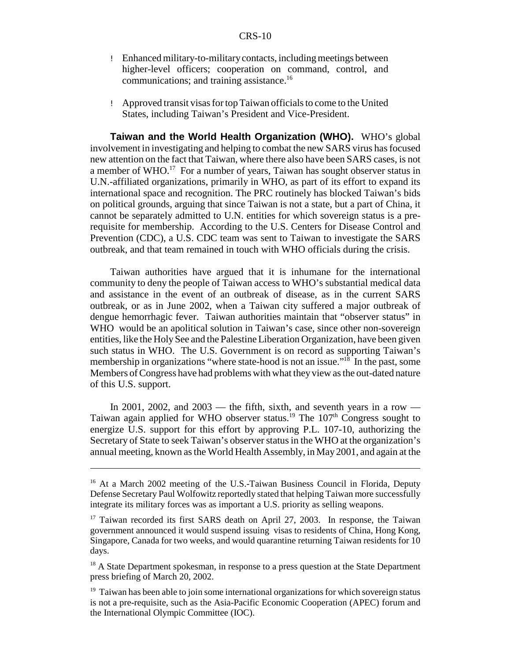- ! Enhanced military-to-militarycontacts, including meetings between higher-level officers; cooperation on command, control, and communications; and training assistance.<sup>16</sup>
- ! Approved transit visas for top Taiwan officials to come to the United States, including Taiwan's President and Vice-President.

**Taiwan and the World Health Organization (WHO).** WHO's global involvement in investigating and helping to combat the new SARS virus has focused new attention on the fact that Taiwan, where there also have been SARS cases, is not a member of WHO.<sup>17</sup> For a number of years, Taiwan has sought observer status in U.N.-affiliated organizations, primarily in WHO, as part of its effort to expand its international space and recognition. The PRC routinely has blocked Taiwan's bids on political grounds, arguing that since Taiwan is not a state, but a part of China, it cannot be separately admitted to U.N. entities for which sovereign status is a prerequisite for membership. According to the U.S. Centers for Disease Control and Prevention (CDC), a U.S. CDC team was sent to Taiwan to investigate the SARS outbreak, and that team remained in touch with WHO officials during the crisis.

Taiwan authorities have argued that it is inhumane for the international community to deny the people of Taiwan access to WHO's substantial medical data and assistance in the event of an outbreak of disease, as in the current SARS outbreak, or as in June 2002, when a Taiwan city suffered a major outbreak of dengue hemorrhagic fever. Taiwan authorities maintain that "observer status" in WHO would be an apolitical solution in Taiwan's case, since other non-sovereign entities, like the Holy See and the Palestine Liberation Organization, have been given such status in WHO. The U.S. Government is on record as supporting Taiwan's membership in organizations "where state-hood is not an issue."<sup>18</sup> In the past, some Members of Congress have had problems with what they view as the out-dated nature of this U.S. support.

In 2001, 2002, and 2003 — the fifth, sixth, and seventh years in a row — Taiwan again applied for WHO observer status.<sup>19</sup> The  $107<sup>th</sup>$  Congress sought to energize U.S. support for this effort by approving P.L. 107-10, authorizing the Secretary of State to seek Taiwan's observer status in the WHO at the organization's annual meeting, known as the World Health Assembly, in May 2001, and again at the

<sup>&</sup>lt;sup>16</sup> At a March 2002 meeting of the U.S.-Taiwan Business Council in Florida, Deputy Defense Secretary Paul Wolfowitz reportedly stated that helping Taiwan more successfully integrate its military forces was as important a U.S. priority as selling weapons.

<sup>&</sup>lt;sup>17</sup> Taiwan recorded its first SARS death on April 27, 2003. In response, the Taiwan government announced it would suspend issuing visas to residents of China, Hong Kong, Singapore, Canada for two weeks, and would quarantine returning Taiwan residents for 10 days.

<sup>&</sup>lt;sup>18</sup> A State Department spokesman, in response to a press question at the State Department press briefing of March 20, 2002.

 $19$  Taiwan has been able to join some international organizations for which sovereign status is not a pre-requisite, such as the Asia-Pacific Economic Cooperation (APEC) forum and the International Olympic Committee (IOC).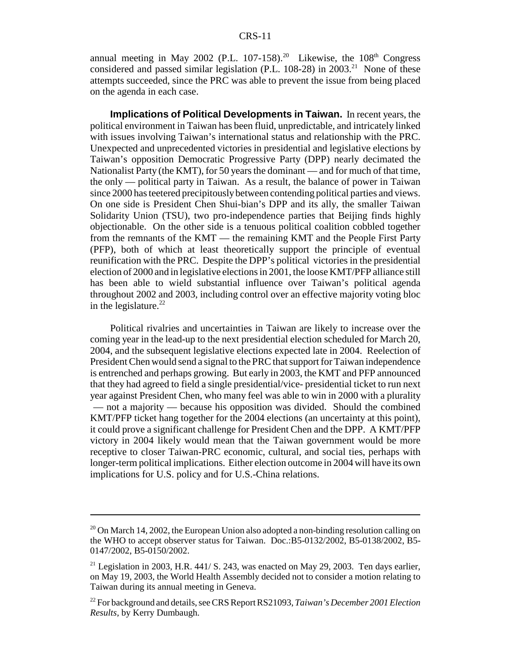annual meeting in May 2002 (P.L. 107-158).<sup>20</sup> Likewise, the  $108<sup>th</sup>$  Congress considered and passed similar legislation (P.L. 108-28) in 2003.<sup>21</sup> None of these attempts succeeded, since the PRC was able to prevent the issue from being placed on the agenda in each case.

**Implications of Political Developments in Taiwan.** In recent years, the political environment in Taiwan has been fluid, unpredictable, and intricately linked with issues involving Taiwan's international status and relationship with the PRC. Unexpected and unprecedented victories in presidential and legislative elections by Taiwan's opposition Democratic Progressive Party (DPP) nearly decimated the Nationalist Party (the KMT), for 50 years the dominant — and for much of that time, the only — political party in Taiwan. As a result, the balance of power in Taiwan since 2000 has teetered precipitouslybetween contending political parties and views. On one side is President Chen Shui-bian's DPP and its ally, the smaller Taiwan Solidarity Union (TSU), two pro-independence parties that Beijing finds highly objectionable. On the other side is a tenuous political coalition cobbled together from the remnants of the KMT — the remaining KMT and the People First Party (PFP), both of which at least theoretically support the principle of eventual reunification with the PRC. Despite the DPP's political victories in the presidential election of 2000 and in legislative elections in 2001, the loose KMT/PFP alliance still has been able to wield substantial influence over Taiwan's political agenda throughout 2002 and 2003, including control over an effective majority voting bloc in the legislature. $^{22}$ 

Political rivalries and uncertainties in Taiwan are likely to increase over the coming year in the lead-up to the next presidential election scheduled for March 20, 2004, and the subsequent legislative elections expected late in 2004. Reelection of President Chen would send a signal to the PRC that support for Taiwan independence is entrenched and perhaps growing. But early in 2003, the KMT and PFP announced that they had agreed to field a single presidential/vice- presidential ticket to run next year against President Chen, who many feel was able to win in 2000 with a plurality — not a majority — because his opposition was divided. Should the combined KMT/PFP ticket hang together for the 2004 elections (an uncertainty at this point), it could prove a significant challenge for President Chen and the DPP. A KMT/PFP victory in 2004 likely would mean that the Taiwan government would be more receptive to closer Taiwan-PRC economic, cultural, and social ties, perhaps with longer-term political implications. Either election outcome in 2004 will have its own implications for U.S. policy and for U.S.-China relations.

<sup>&</sup>lt;sup>20</sup> On March 14, 2002, the European Union also adopted a non-binding resolution calling on the WHO to accept observer status for Taiwan. Doc.:B5-0132/2002, B5-0138/2002, B5- 0147/2002, B5-0150/2002.

<sup>&</sup>lt;sup>21</sup> Legislation in 2003, H.R. 441/ S. 243, was enacted on May 29, 2003. Ten days earlier, on May 19, 2003, the World Health Assembly decided not to consider a motion relating to Taiwan during its annual meeting in Geneva.

<sup>22</sup> For background and details, see CRS Report RS21093, *Taiwan's December 2001 Election Results,* by Kerry Dumbaugh.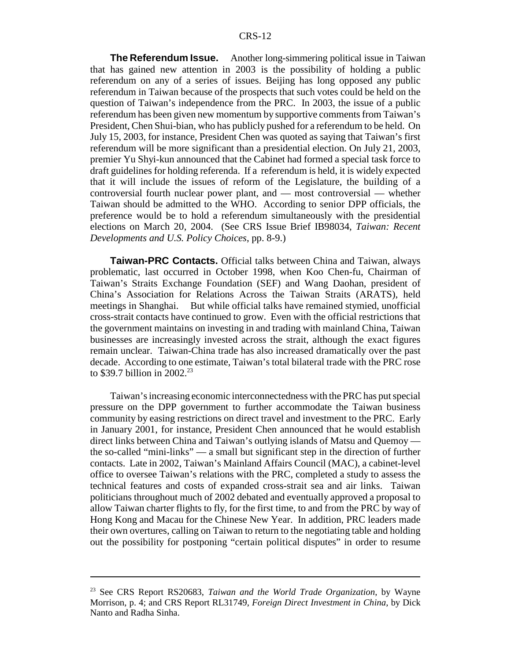**The Referendum Issue.** Another long-simmering political issue in Taiwan that has gained new attention in 2003 is the possibility of holding a public referendum on any of a series of issues. Beijing has long opposed any public referendum in Taiwan because of the prospects that such votes could be held on the question of Taiwan's independence from the PRC. In 2003, the issue of a public referendum has been given new momentum by supportive comments from Taiwan's President, Chen Shui-bian, who has publicly pushed for a referendum to be held. On July 15, 2003, for instance, President Chen was quoted as saying that Taiwan's first referendum will be more significant than a presidential election. On July 21, 2003, premier Yu Shyi-kun announced that the Cabinet had formed a special task force to draft guidelines for holding referenda. If a referendum is held, it is widely expected that it will include the issues of reform of the Legislature, the building of a controversial fourth nuclear power plant, and — most controversial — whether Taiwan should be admitted to the WHO. According to senior DPP officials, the preference would be to hold a referendum simultaneously with the presidential elections on March 20, 2004. (See CRS Issue Brief IB98034, *Taiwan: Recent Developments and U.S. Policy Choices*, pp. 8-9.)

**Taiwan-PRC Contacts.** Official talks between China and Taiwan, always problematic, last occurred in October 1998, when Koo Chen-fu, Chairman of Taiwan's Straits Exchange Foundation (SEF) and Wang Daohan, president of China's Association for Relations Across the Taiwan Straits (ARATS), held meetings in Shanghai. But while official talks have remained stymied, unofficial cross-strait contacts have continued to grow. Even with the official restrictions that the government maintains on investing in and trading with mainland China, Taiwan businesses are increasingly invested across the strait, although the exact figures remain unclear. Taiwan-China trade has also increased dramatically over the past decade. According to one estimate, Taiwan's total bilateral trade with the PRC rose to \$39.7 billion in  $2002.^{23}$ 

Taiwan's increasing economic interconnectedness with the PRC has put special pressure on the DPP government to further accommodate the Taiwan business community by easing restrictions on direct travel and investment to the PRC. Early in January 2001, for instance, President Chen announced that he would establish direct links between China and Taiwan's outlying islands of Matsu and Quemoy the so-called "mini-links" — a small but significant step in the direction of further contacts. Late in 2002, Taiwan's Mainland Affairs Council (MAC), a cabinet-level office to oversee Taiwan's relations with the PRC, completed a study to assess the technical features and costs of expanded cross-strait sea and air links. Taiwan politicians throughout much of 2002 debated and eventually approved a proposal to allow Taiwan charter flights to fly, for the first time, to and from the PRC by way of Hong Kong and Macau for the Chinese New Year. In addition, PRC leaders made their own overtures, calling on Taiwan to return to the negotiating table and holding out the possibility for postponing "certain political disputes" in order to resume

<sup>23</sup> See CRS Report RS20683, *Taiwan and the World Trade Organization*, by Wayne Morrison, p. 4; and CRS Report RL31749, *Foreign Direct Investment in China*, by Dick Nanto and Radha Sinha.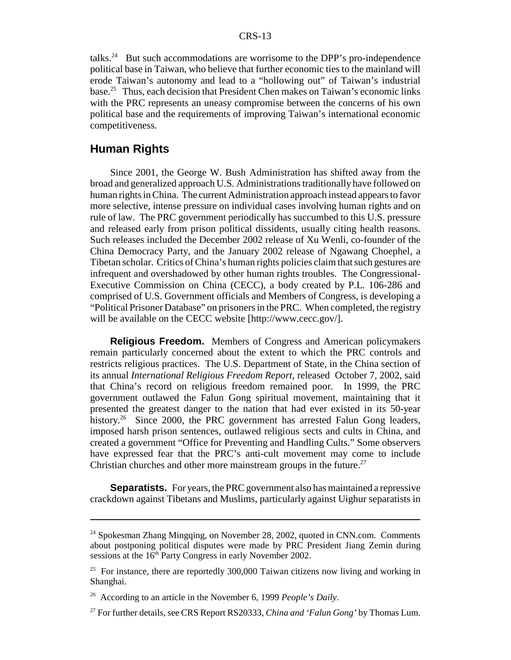talks.<sup>24</sup> But such accommodations are worrisome to the DPP's pro-independence political base in Taiwan, who believe that further economic ties to the mainland will erode Taiwan's autonomy and lead to a "hollowing out" of Taiwan's industrial base.25 Thus, each decision that President Chen makes on Taiwan's economic links with the PRC represents an uneasy compromise between the concerns of his own political base and the requirements of improving Taiwan's international economic competitiveness.

### **Human Rights**

Since 2001, the George W. Bush Administration has shifted away from the broad and generalized approach U.S. Administrations traditionally have followed on human rights in China. The current Administration approach instead appears to favor more selective, intense pressure on individual cases involving human rights and on rule of law. The PRC government periodically has succumbed to this U.S. pressure and released early from prison political dissidents, usually citing health reasons. Such releases included the December 2002 release of Xu Wenli, co-founder of the China Democracy Party, and the January 2002 release of Ngawang Choephel, a Tibetan scholar. Critics of China's human rights policies claim that such gestures are infrequent and overshadowed by other human rights troubles. The Congressional-Executive Commission on China (CECC), a body created by P.L. 106-286 and comprised of U.S. Government officials and Members of Congress, is developing a "Political Prisoner Database" on prisoners in the PRC. When completed, the registry will be available on the CECC website [http://www.cecc.gov/].

**Religious Freedom.** Members of Congress and American policymakers remain particularly concerned about the extent to which the PRC controls and restricts religious practices. The U.S. Department of State, in the China section of its annual *International Religious Freedom Report*, released October 7, 2002, said that China's record on religious freedom remained poor. In 1999, the PRC government outlawed the Falun Gong spiritual movement, maintaining that it presented the greatest danger to the nation that had ever existed in its 50-year history.<sup>26</sup> Since 2000, the PRC government has arrested Falun Gong leaders, imposed harsh prison sentences, outlawed religious sects and cults in China, and created a government "Office for Preventing and Handling Cults." Some observers have expressed fear that the PRC's anti-cult movement may come to include Christian churches and other more mainstream groups in the future.<sup>27</sup>

**Separatists.** For years, the PRC government also has maintained a repressive crackdown against Tibetans and Muslims, particularly against Uighur separatists in

<sup>&</sup>lt;sup>24</sup> Spokesman Zhang Mingqing, on November 28, 2002, quoted in CNN.com. Comments about postponing political disputes were made by PRC President Jiang Zemin during sessions at the 16<sup>th</sup> Party Congress in early November 2002.

<sup>&</sup>lt;sup>25</sup> For instance, there are reportedly 300,000 Taiwan citizens now living and working in Shanghai.

<sup>26</sup> According to an article in the November 6, 1999 *People's Daily*.

<sup>27</sup> For further details, see CRS Report RS20333, *China and 'Falun Gong'* by Thomas Lum.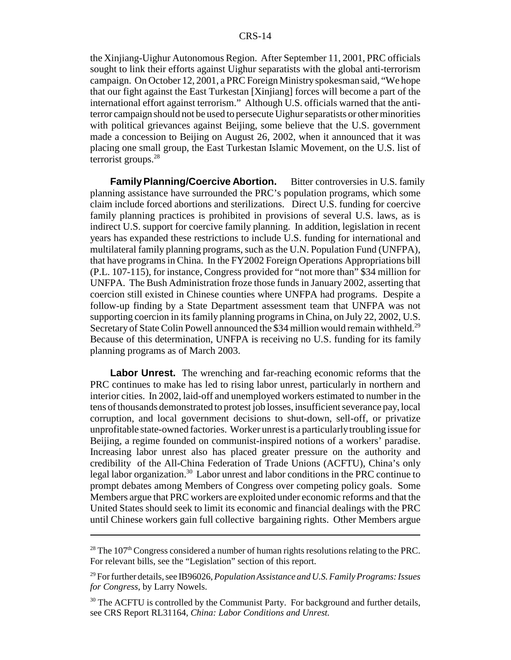the Xinjiang-Uighur Autonomous Region. After September 11, 2001, PRC officials sought to link their efforts against Uighur separatists with the global anti-terrorism campaign. On October 12, 2001, a PRC Foreign Ministryspokesman said, "We hope that our fight against the East Turkestan [Xinjiang] forces will become a part of the international effort against terrorism." Although U.S. officials warned that the antiterror campaign should not be used to persecute Uighur separatists or other minorities with political grievances against Beijing, some believe that the U.S. government made a concession to Beijing on August 26, 2002, when it announced that it was placing one small group, the East Turkestan Islamic Movement, on the U.S. list of terrorist groups.<sup>28</sup>

**Family Planning/Coercive Abortion.** Bitter controversies in U.S. family planning assistance have surrounded the PRC's population programs, which some claim include forced abortions and sterilizations. Direct U.S. funding for coercive family planning practices is prohibited in provisions of several U.S. laws, as is indirect U.S. support for coercive family planning. In addition, legislation in recent years has expanded these restrictions to include U.S. funding for international and multilateral family planning programs, such as the U.N. Population Fund (UNFPA), that have programs in China. In the FY2002 Foreign Operations Appropriations bill (P.L. 107-115), for instance, Congress provided for "not more than" \$34 million for UNFPA. The Bush Administration froze those funds in January 2002, asserting that coercion still existed in Chinese counties where UNFPA had programs. Despite a follow-up finding by a State Department assessment team that UNFPA was not supporting coercion in its family planning programs in China, on July 22, 2002, U.S. Secretary of State Colin Powell announced the \$34 million would remain withheld.<sup>29</sup> Because of this determination, UNFPA is receiving no U.S. funding for its family planning programs as of March 2003.

**Labor Unrest.** The wrenching and far-reaching economic reforms that the PRC continues to make has led to rising labor unrest, particularly in northern and interior cities. In 2002, laid-off and unemployed workers estimated to number in the tens of thousands demonstrated to protest job losses, insufficient severance pay, local corruption, and local government decisions to shut-down, sell-off, or privatize unprofitable state-owned factories. Worker unrest is a particularlytroubling issue for Beijing, a regime founded on communist-inspired notions of a workers' paradise. Increasing labor unrest also has placed greater pressure on the authority and credibility of the All-China Federation of Trade Unions (ACFTU), China's only legal labor organization.<sup>30</sup> Labor unrest and labor conditions in the PRC continue to prompt debates among Members of Congress over competing policy goals. Some Members argue that PRC workers are exploited under economic reforms and that the United States should seek to limit its economic and financial dealings with the PRC until Chinese workers gain full collective bargaining rights. Other Members argue

 $^{28}$  The 107<sup>th</sup> Congress considered a number of human rights resolutions relating to the PRC. For relevant bills, see the "Legislation" section of this report.

<sup>29</sup> For further details, see IB96026,*Population Assistance and U.S. Family Programs: Issues for Congress*, by Larry Nowels.

<sup>&</sup>lt;sup>30</sup> The ACFTU is controlled by the Communist Party. For background and further details, see CRS Report RL31164, *China: Labor Conditions and Unrest.*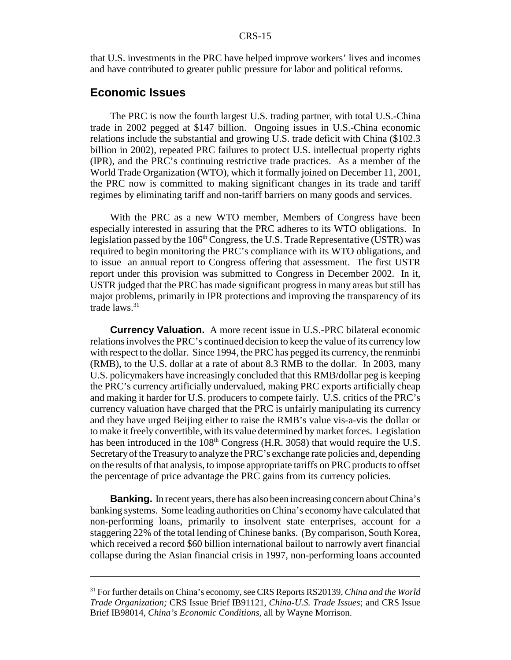#### CRS-15

that U.S. investments in the PRC have helped improve workers' lives and incomes and have contributed to greater public pressure for labor and political reforms.

### **Economic Issues**

The PRC is now the fourth largest U.S. trading partner, with total U.S.-China trade in 2002 pegged at \$147 billion. Ongoing issues in U.S.-China economic relations include the substantial and growing U.S. trade deficit with China (\$102.3 billion in 2002), repeated PRC failures to protect U.S. intellectual property rights (IPR), and the PRC's continuing restrictive trade practices. As a member of the World Trade Organization (WTO), which it formally joined on December 11, 2001, the PRC now is committed to making significant changes in its trade and tariff regimes by eliminating tariff and non-tariff barriers on many goods and services.

With the PRC as a new WTO member, Members of Congress have been especially interested in assuring that the PRC adheres to its WTO obligations. In legislation passed by the  $106<sup>th</sup> Congress$ , the U.S. Trade Representative (USTR) was required to begin monitoring the PRC's compliance with its WTO obligations, and to issue an annual report to Congress offering that assessment. The first USTR report under this provision was submitted to Congress in December 2002. In it, USTR judged that the PRC has made significant progress in many areas but still has major problems, primarily in IPR protections and improving the transparency of its trade  $laws.<sup>31</sup>$ 

**Currency Valuation.** A more recent issue in U.S.-PRC bilateral economic relations involves the PRC's continued decision to keep the value of its currency low with respect to the dollar. Since 1994, the PRC has pegged its currency, the renminbi (RMB), to the U.S. dollar at a rate of about 8.3 RMB to the dollar. In 2003, many U.S. policymakers have increasingly concluded that this RMB/dollar peg is keeping the PRC's currency artificially undervalued, making PRC exports artificially cheap and making it harder for U.S. producers to compete fairly. U.S. critics of the PRC's currency valuation have charged that the PRC is unfairly manipulating its currency and they have urged Beijing either to raise the RMB's value vis-a-vis the dollar or to make it freely convertible, with its value determined by market forces. Legislation has been introduced in the  $108<sup>th</sup>$  Congress (H.R. 3058) that would require the U.S. Secretaryof the Treasuryto analyze the PRC's exchange rate policies and, depending on the results of that analysis, to impose appropriate tariffs on PRC products to offset the percentage of price advantage the PRC gains from its currency policies.

**Banking.** In recent years, there has also been increasing concern about China's banking systems. Some leading authorities on China's economy have calculated that non-performing loans, primarily to insolvent state enterprises, account for a staggering 22% of the total lending of Chinese banks. (By comparison, South Korea, which received a record \$60 billion international bailout to narrowly avert financial collapse during the Asian financial crisis in 1997, non-performing loans accounted

<sup>31</sup> For further details on China's economy, see CRS Reports RS20139, *China and the World Trade Organization;* CRS Issue Brief IB91121, *China-U.S. Trade Issues*; and CRS Issue Brief IB98014, *China's Economic Conditions,* all by Wayne Morrison.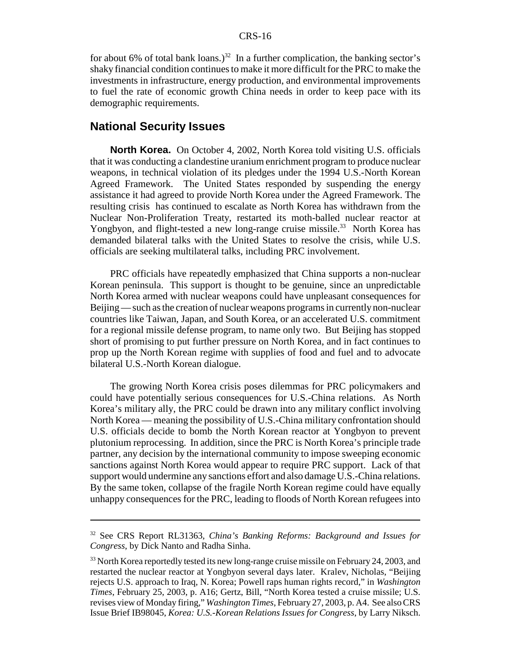#### CRS-16

for about 6% of total bank loans.)<sup>32</sup> In a further complication, the banking sector's shaky financial condition continues to make it more difficult for the PRC to make the investments in infrastructure, energy production, and environmental improvements to fuel the rate of economic growth China needs in order to keep pace with its demographic requirements.

### **National Security Issues**

**North Korea.** On October 4, 2002, North Korea told visiting U.S. officials that it was conducting a clandestine uranium enrichment program to produce nuclear weapons, in technical violation of its pledges under the 1994 U.S.-North Korean Agreed Framework. The United States responded by suspending the energy assistance it had agreed to provide North Korea under the Agreed Framework. The resulting crisis has continued to escalate as North Korea has withdrawn from the Nuclear Non-Proliferation Treaty, restarted its moth-balled nuclear reactor at Yongbyon, and flight-tested a new long-range cruise missile.<sup>33</sup> North Korea has demanded bilateral talks with the United States to resolve the crisis, while U.S. officials are seeking multilateral talks, including PRC involvement.

PRC officials have repeatedly emphasized that China supports a non-nuclear Korean peninsula. This support is thought to be genuine, since an unpredictable North Korea armed with nuclear weapons could have unpleasant consequences for Beijing — such as the creation of nuclear weapons programs in currently non-nuclear countries like Taiwan, Japan, and South Korea, or an accelerated U.S. commitment for a regional missile defense program, to name only two. But Beijing has stopped short of promising to put further pressure on North Korea, and in fact continues to prop up the North Korean regime with supplies of food and fuel and to advocate bilateral U.S.-North Korean dialogue.

The growing North Korea crisis poses dilemmas for PRC policymakers and could have potentially serious consequences for U.S.-China relations. As North Korea's military ally, the PRC could be drawn into any military conflict involving North Korea — meaning the possibility of U.S.-China military confrontation should U.S. officials decide to bomb the North Korean reactor at Yongbyon to prevent plutonium reprocessing. In addition, since the PRC is North Korea's principle trade partner, any decision by the international community to impose sweeping economic sanctions against North Korea would appear to require PRC support. Lack of that support would undermine any sanctions effort and also damage U.S.-China relations. By the same token, collapse of the fragile North Korean regime could have equally unhappy consequences for the PRC, leading to floods of North Korean refugees into

<sup>32</sup> See CRS Report RL31363, *China's Banking Reforms: Background and Issues for Congress*, by Dick Nanto and Radha Sinha.

 $33$  North Korea reportedly tested its new long-range cruise missile on February 24, 2003, and restarted the nuclear reactor at Yongbyon several days later. Kralev, Nicholas, "Beijing rejects U.S. approach to Iraq, N. Korea; Powell raps human rights record," in *Washington Times*, February 25, 2003, p. A16; Gertz, Bill, "North Korea tested a cruise missile; U.S. revises view of Monday firing," *Washington Times*, February 27, 2003, p. A4. See also CRS Issue Brief IB98045, *Korea: U.S.-Korean Relations Issues for Congress*, by Larry Niksch.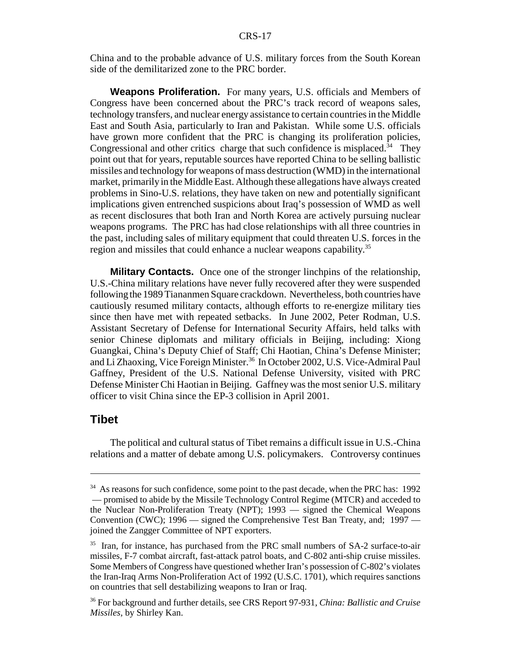China and to the probable advance of U.S. military forces from the South Korean side of the demilitarized zone to the PRC border.

**Weapons Proliferation.** For many years, U.S. officials and Members of Congress have been concerned about the PRC's track record of weapons sales, technology transfers, and nuclear energy assistance to certain countries in the Middle East and South Asia, particularly to Iran and Pakistan. While some U.S. officials have grown more confident that the PRC is changing its proliferation policies, Congressional and other critics charge that such confidence is misplaced.<sup>34</sup> They point out that for years, reputable sources have reported China to be selling ballistic missiles and technology for weapons of mass destruction (WMD) in the international market, primarily in the Middle East. Although these allegations have always created problems in Sino-U.S. relations, they have taken on new and potentially significant implications given entrenched suspicions about Iraq's possession of WMD as well as recent disclosures that both Iran and North Korea are actively pursuing nuclear weapons programs. The PRC has had close relationships with all three countries in the past, including sales of military equipment that could threaten U.S. forces in the region and missiles that could enhance a nuclear weapons capability.<sup>35</sup>

**Military Contacts.** Once one of the stronger linchpins of the relationship, U.S.-China military relations have never fully recovered after they were suspended following the 1989 Tiananmen Square crackdown. Nevertheless, both countries have cautiously resumed military contacts, although efforts to re-energize military ties since then have met with repeated setbacks. In June 2002, Peter Rodman, U.S. Assistant Secretary of Defense for International Security Affairs, held talks with senior Chinese diplomats and military officials in Beijing, including: Xiong Guangkai, China's Deputy Chief of Staff; Chi Haotian, China's Defense Minister; and Li Zhaoxing, Vice Foreign Minister.<sup>36</sup> In October 2002, U.S. Vice-Admiral Paul Gaffney, President of the U.S. National Defense University, visited with PRC Defense Minister Chi Haotian in Beijing. Gaffney was the most senior U.S. military officer to visit China since the EP-3 collision in April 2001.

### **Tibet**

The political and cultural status of Tibet remains a difficult issue in U.S.-China relations and a matter of debate among U.S. policymakers. Controversy continues

<sup>&</sup>lt;sup>34</sup> As reasons for such confidence, some point to the past decade, when the PRC has: 1992 — promised to abide by the Missile Technology Control Regime (MTCR) and acceded to the Nuclear Non-Proliferation Treaty (NPT); 1993 — signed the Chemical Weapons Convention (CWC); 1996 — signed the Comprehensive Test Ban Treaty, and; 1997 joined the Zangger Committee of NPT exporters.

<sup>&</sup>lt;sup>35</sup> Iran, for instance, has purchased from the PRC small numbers of SA-2 surface-to-air missiles, F-7 combat aircraft, fast-attack patrol boats, and C-802 anti-ship cruise missiles. Some Members of Congress have questioned whether Iran's possession of C-802's violates the Iran-Iraq Arms Non-Proliferation Act of 1992 (U.S.C. 1701), which requires sanctions on countries that sell destabilizing weapons to Iran or Iraq.

<sup>36</sup> For background and further details, see CRS Report 97-931, *China: Ballistic and Cruise Missiles,* by Shirley Kan.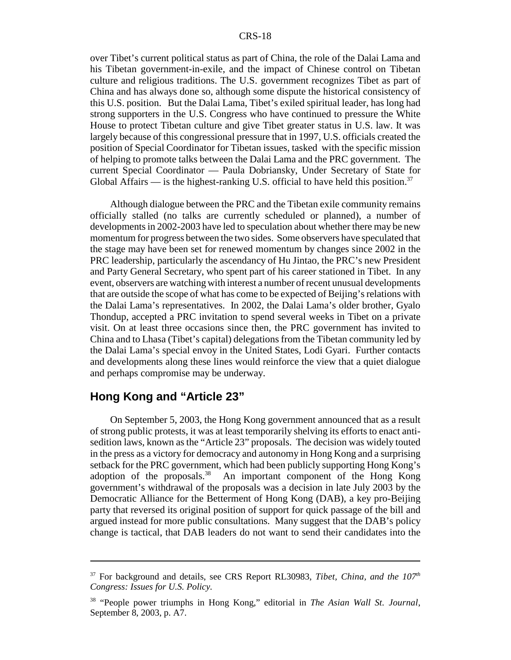over Tibet's current political status as part of China, the role of the Dalai Lama and his Tibetan government-in-exile, and the impact of Chinese control on Tibetan culture and religious traditions. The U.S. government recognizes Tibet as part of China and has always done so, although some dispute the historical consistency of this U.S. position. But the Dalai Lama, Tibet's exiled spiritual leader, has long had strong supporters in the U.S. Congress who have continued to pressure the White House to protect Tibetan culture and give Tibet greater status in U.S. law. It was largely because of this congressional pressure that in 1997, U.S. officials created the position of Special Coordinator for Tibetan issues, tasked with the specific mission of helping to promote talks between the Dalai Lama and the PRC government. The current Special Coordinator — Paula Dobriansky, Under Secretary of State for Global Affairs — is the highest-ranking U.S. official to have held this position.<sup>37</sup>

Although dialogue between the PRC and the Tibetan exile community remains officially stalled (no talks are currently scheduled or planned), a number of developments in 2002-2003 have led to speculation about whether there may be new momentum for progress between the two sides. Some observers have speculated that the stage may have been set for renewed momentum by changes since 2002 in the PRC leadership, particularly the ascendancy of Hu Jintao, the PRC's new President and Party General Secretary, who spent part of his career stationed in Tibet. In any event, observers are watching with interest a number of recent unusual developments that are outside the scope of what has come to be expected of Beijing's relations with the Dalai Lama's representatives. In 2002, the Dalai Lama's older brother, Gyalo Thondup, accepted a PRC invitation to spend several weeks in Tibet on a private visit. On at least three occasions since then, the PRC government has invited to China and to Lhasa (Tibet's capital) delegations from the Tibetan community led by the Dalai Lama's special envoy in the United States, Lodi Gyari. Further contacts and developments along these lines would reinforce the view that a quiet dialogue and perhaps compromise may be underway.

### **Hong Kong and "Article 23"**

On September 5, 2003, the Hong Kong government announced that as a result of strong public protests, it was at least temporarily shelving its efforts to enact antisedition laws, known as the "Article 23" proposals. The decision was widely touted in the press as a victory for democracy and autonomy in Hong Kong and a surprising setback for the PRC government, which had been publicly supporting Hong Kong's adoption of the proposals. $38$  An important component of the Hong Kong government's withdrawal of the proposals was a decision in late July 2003 by the Democratic Alliance for the Betterment of Hong Kong (DAB), a key pro-Beijing party that reversed its original position of support for quick passage of the bill and argued instead for more public consultations. Many suggest that the DAB's policy change is tactical, that DAB leaders do not want to send their candidates into the

 $37$  For background and details, see CRS Report RL30983, *Tibet, China, and the 107<sup>th</sup> Congress: Issues for U.S. Policy.*

<sup>38</sup> "People power triumphs in Hong Kong," editorial in *The Asian Wall St. Journal*, September 8, 2003, p. A7.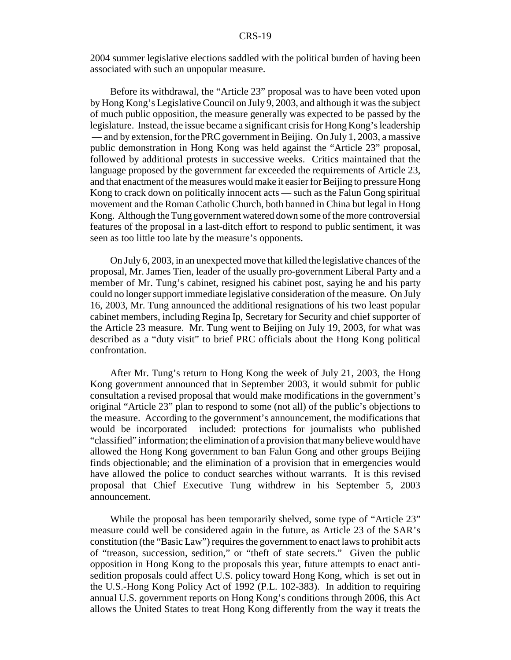2004 summer legislative elections saddled with the political burden of having been associated with such an unpopular measure.

Before its withdrawal, the "Article 23" proposal was to have been voted upon by Hong Kong's Legislative Council on July 9, 2003, and although it was the subject of much public opposition, the measure generally was expected to be passed by the legislature. Instead, the issue became a significant crisis for Hong Kong's leadership — and by extension, for the PRC government in Beijing. On July 1, 2003, a massive public demonstration in Hong Kong was held against the "Article 23" proposal, followed by additional protests in successive weeks. Critics maintained that the language proposed by the government far exceeded the requirements of Article 23, and that enactment of the measures would make it easier for Beijing to pressure Hong Kong to crack down on politically innocent acts — such as the Falun Gong spiritual movement and the Roman Catholic Church, both banned in China but legal in Hong Kong. Although the Tung government watered down some of the more controversial features of the proposal in a last-ditch effort to respond to public sentiment, it was seen as too little too late by the measure's opponents.

On July 6, 2003, in an unexpected move that killed the legislative chances of the proposal, Mr. James Tien, leader of the usually pro-government Liberal Party and a member of Mr. Tung's cabinet, resigned his cabinet post, saying he and his party could no longer support immediate legislative consideration of the measure. On July 16, 2003, Mr. Tung announced the additional resignations of his two least popular cabinet members, including Regina Ip, Secretary for Security and chief supporter of the Article 23 measure. Mr. Tung went to Beijing on July 19, 2003, for what was described as a "duty visit" to brief PRC officials about the Hong Kong political confrontation.

After Mr. Tung's return to Hong Kong the week of July 21, 2003, the Hong Kong government announced that in September 2003, it would submit for public consultation a revised proposal that would make modifications in the government's original "Article 23" plan to respond to some (not all) of the public's objections to the measure. According to the government's announcement, the modifications that would be incorporated included: protections for journalists who published "classified" information; the elimination of a provision that manybelieve would have allowed the Hong Kong government to ban Falun Gong and other groups Beijing finds objectionable; and the elimination of a provision that in emergencies would have allowed the police to conduct searches without warrants. It is this revised proposal that Chief Executive Tung withdrew in his September 5, 2003 announcement.

While the proposal has been temporarily shelved, some type of "Article 23" measure could well be considered again in the future, as Article 23 of the SAR's constitution (the "Basic Law") requires the government to enact laws to prohibit acts of "treason, succession, sedition," or "theft of state secrets." Given the public opposition in Hong Kong to the proposals this year, future attempts to enact antisedition proposals could affect U.S. policy toward Hong Kong, which is set out in the U.S.-Hong Kong Policy Act of 1992 (P.L. 102-383). In addition to requiring annual U.S. government reports on Hong Kong's conditions through 2006, this Act allows the United States to treat Hong Kong differently from the way it treats the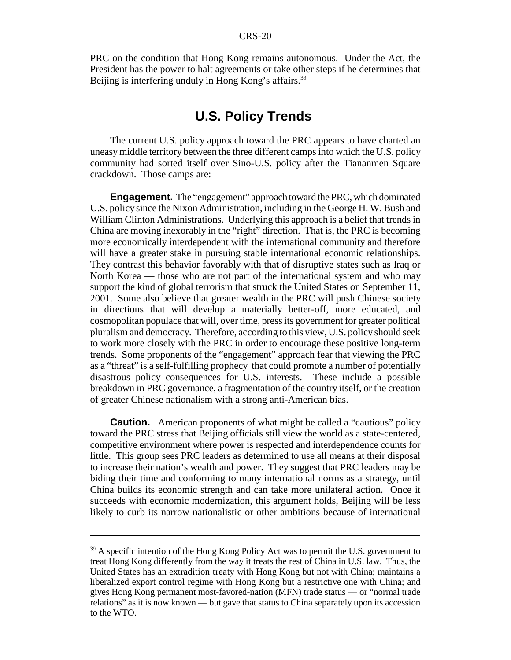PRC on the condition that Hong Kong remains autonomous. Under the Act, the President has the power to halt agreements or take other steps if he determines that Beijing is interfering unduly in Hong Kong's affairs.<sup>39</sup>

### **U.S. Policy Trends**

The current U.S. policy approach toward the PRC appears to have charted an uneasy middle territory between the three different camps into which the U.S. policy community had sorted itself over Sino-U.S. policy after the Tiananmen Square crackdown. Those camps are:

**Engagement.** The "engagement" approach toward the PRC, which dominated U.S. policy since the Nixon Administration, including in the George H. W. Bush and William Clinton Administrations. Underlying this approach is a belief that trends in China are moving inexorably in the "right" direction. That is, the PRC is becoming more economically interdependent with the international community and therefore will have a greater stake in pursuing stable international economic relationships. They contrast this behavior favorably with that of disruptive states such as Iraq or North Korea — those who are not part of the international system and who may support the kind of global terrorism that struck the United States on September 11, 2001. Some also believe that greater wealth in the PRC will push Chinese society in directions that will develop a materially better-off, more educated, and cosmopolitan populace that will, over time, press its government for greater political pluralism and democracy. Therefore, according to this view, U.S. policy should seek to work more closely with the PRC in order to encourage these positive long-term trends. Some proponents of the "engagement" approach fear that viewing the PRC as a "threat" is a self-fulfilling prophecy that could promote a number of potentially disastrous policy consequences for U.S. interests. These include a possible breakdown in PRC governance, a fragmentation of the country itself, or the creation of greater Chinese nationalism with a strong anti-American bias.

**Caution.** American proponents of what might be called a "cautious" policy toward the PRC stress that Beijing officials still view the world as a state-centered, competitive environment where power is respected and interdependence counts for little. This group sees PRC leaders as determined to use all means at their disposal to increase their nation's wealth and power. They suggest that PRC leaders may be biding their time and conforming to many international norms as a strategy, until China builds its economic strength and can take more unilateral action. Once it succeeds with economic modernization, this argument holds, Beijing will be less likely to curb its narrow nationalistic or other ambitions because of international

 $39$  A specific intention of the Hong Kong Policy Act was to permit the U.S. government to treat Hong Kong differently from the way it treats the rest of China in U.S. law. Thus, the United States has an extradition treaty with Hong Kong but not with China; maintains a liberalized export control regime with Hong Kong but a restrictive one with China; and gives Hong Kong permanent most-favored-nation (MFN) trade status — or "normal trade relations" as it is now known — but gave that status to China separately upon its accession to the WTO.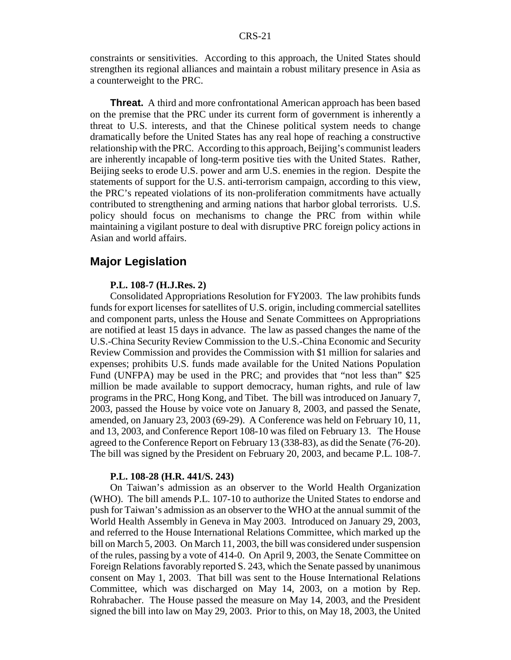constraints or sensitivities. According to this approach, the United States should strengthen its regional alliances and maintain a robust military presence in Asia as a counterweight to the PRC.

**Threat.** A third and more confrontational American approach has been based on the premise that the PRC under its current form of government is inherently a threat to U.S. interests, and that the Chinese political system needs to change dramatically before the United States has any real hope of reaching a constructive relationship with the PRC. According to this approach, Beijing's communist leaders are inherently incapable of long-term positive ties with the United States. Rather, Beijing seeks to erode U.S. power and arm U.S. enemies in the region. Despite the statements of support for the U.S. anti-terrorism campaign, according to this view, the PRC's repeated violations of its non-proliferation commitments have actually contributed to strengthening and arming nations that harbor global terrorists. U.S. policy should focus on mechanisms to change the PRC from within while maintaining a vigilant posture to deal with disruptive PRC foreign policy actions in Asian and world affairs.

### **Major Legislation**

#### **P.L. 108-7 (H.J.Res. 2)**

Consolidated Appropriations Resolution for FY2003. The law prohibits funds funds for export licenses for satellites of U.S. origin, including commercial satellites and component parts, unless the House and Senate Committees on Appropriations are notified at least 15 days in advance. The law as passed changes the name of the U.S.-China Security Review Commission to the U.S.-China Economic and Security Review Commission and provides the Commission with \$1 million for salaries and expenses; prohibits U.S. funds made available for the United Nations Population Fund (UNFPA) may be used in the PRC; and provides that "not less than" \$25 million be made available to support democracy, human rights, and rule of law programs in the PRC, Hong Kong, and Tibet. The bill was introduced on January 7, 2003, passed the House by voice vote on January 8, 2003, and passed the Senate, amended, on January 23, 2003 (69-29). A Conference was held on February 10, 11, and 13, 2003, and Conference Report 108-10 was filed on February 13. The House agreed to the Conference Report on February 13 (338-83), as did the Senate (76-20). The bill was signed by the President on February 20, 2003, and became P.L. 108-7.

#### **P.L. 108-28 (H.R. 441/S. 243)**

On Taiwan's admission as an observer to the World Health Organization (WHO). The bill amends P.L. 107-10 to authorize the United States to endorse and push for Taiwan's admission as an observer to the WHO at the annual summit of the World Health Assembly in Geneva in May 2003. Introduced on January 29, 2003, and referred to the House International Relations Committee, which marked up the bill on March 5, 2003. On March 11, 2003, the bill was considered under suspension of the rules, passing by a vote of 414-0. On April 9, 2003, the Senate Committee on Foreign Relations favorably reported S. 243, which the Senate passed by unanimous consent on May 1, 2003. That bill was sent to the House International Relations Committee, which was discharged on May 14, 2003, on a motion by Rep. Rohrabacher. The House passed the measure on May 14, 2003, and the President signed the bill into law on May 29, 2003. Prior to this, on May 18, 2003, the United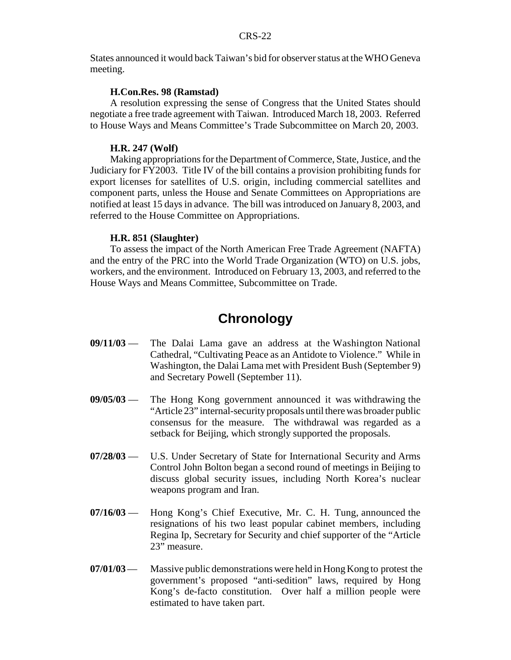States announced it would back Taiwan's bid for observer status at the WHO Geneva meeting.

#### **H.Con.Res. 98 (Ramstad)**

A resolution expressing the sense of Congress that the United States should negotiate a free trade agreement with Taiwan. Introduced March 18, 2003. Referred to House Ways and Means Committee's Trade Subcommittee on March 20, 2003.

#### **H.R. 247 (Wolf)**

Making appropriations for the Department of Commerce, State, Justice, and the Judiciary for FY2003. Title IV of the bill contains a provision prohibiting funds for export licenses for satellites of U.S. origin, including commercial satellites and component parts, unless the House and Senate Committees on Appropriations are notified at least 15 days in advance. The bill was introduced on January 8, 2003, and referred to the House Committee on Appropriations.

#### **H.R. 851 (Slaughter)**

To assess the impact of the North American Free Trade Agreement (NAFTA) and the entry of the PRC into the World Trade Organization (WTO) on U.S. jobs, workers, and the environment. Introduced on February 13, 2003, and referred to the House Ways and Means Committee, Subcommittee on Trade.

### **Chronology**

- **09/11/03** The Dalai Lama gave an address at the Washington National Cathedral, "Cultivating Peace as an Antidote to Violence." While in Washington, the Dalai Lama met with President Bush (September 9) and Secretary Powell (September 11).
- **09/05/03** The Hong Kong government announced it was withdrawing the "Article 23" internal-securityproposals until there was broader public consensus for the measure. The withdrawal was regarded as a setback for Beijing, which strongly supported the proposals.
- **07/28/03** U.S. Under Secretary of State for International Security and Arms Control John Bolton began a second round of meetings in Beijing to discuss global security issues, including North Korea's nuclear weapons program and Iran.
- **07/16/03** Hong Kong's Chief Executive, Mr. C. H. Tung, announced the resignations of his two least popular cabinet members, including Regina Ip, Secretary for Security and chief supporter of the "Article 23" measure.
- **07/01/03** Massive public demonstrations were held in Hong Kong to protest the government's proposed "anti-sedition" laws, required by Hong Kong's de-facto constitution. Over half a million people were estimated to have taken part.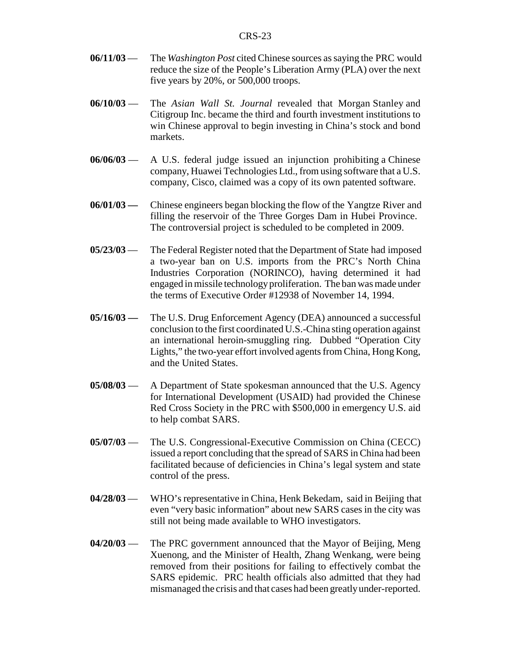- **06/11/03** The *Washington Post* cited Chinese sources as saying the PRC would reduce the size of the People's Liberation Army (PLA) over the next five years by 20%, or 500,000 troops.
- **06/10/03** The *Asian Wall St. Journal* revealed that Morgan Stanley and Citigroup Inc. became the third and fourth investment institutions to win Chinese approval to begin investing in China's stock and bond markets.
- **06/06/03** A U.S. federal judge issued an injunction prohibiting a Chinese company, Huawei Technologies Ltd., from using software that a U.S. company, Cisco, claimed was a copy of its own patented software.
- **06/01/03 —** Chinese engineers began blocking the flow of the Yangtze River and filling the reservoir of the Three Gorges Dam in Hubei Province. The controversial project is scheduled to be completed in 2009.
- **05/23/03** The Federal Register noted that the Department of State had imposed a two-year ban on U.S. imports from the PRC's North China Industries Corporation (NORINCO), having determined it had engaged in missile technologyproliferation. The ban was made under the terms of Executive Order #12938 of November 14, 1994.
- **05/16/03 —** The U.S. Drug Enforcement Agency (DEA) announced a successful conclusion to the first coordinated U.S.-China sting operation against an international heroin-smuggling ring. Dubbed "Operation City Lights," the two-year effort involved agents from China, Hong Kong, and the United States.
- **05/08/03** A Department of State spokesman announced that the U.S. Agency for International Development (USAID) had provided the Chinese Red Cross Society in the PRC with \$500,000 in emergency U.S. aid to help combat SARS.
- **05/07/03** The U.S. Congressional-Executive Commission on China (CECC) issued a report concluding that the spread of SARS in China had been facilitated because of deficiencies in China's legal system and state control of the press.
- **04/28/03** WHO's representative in China, Henk Bekedam, said in Beijing that even "very basic information" about new SARS cases in the city was still not being made available to WHO investigators.
- **04/20/03** The PRC government announced that the Mayor of Beijing, Meng Xuenong, and the Minister of Health, Zhang Wenkang, were being removed from their positions for failing to effectively combat the SARS epidemic. PRC health officials also admitted that they had mismanaged the crisis and that cases had been greatlyunder-reported.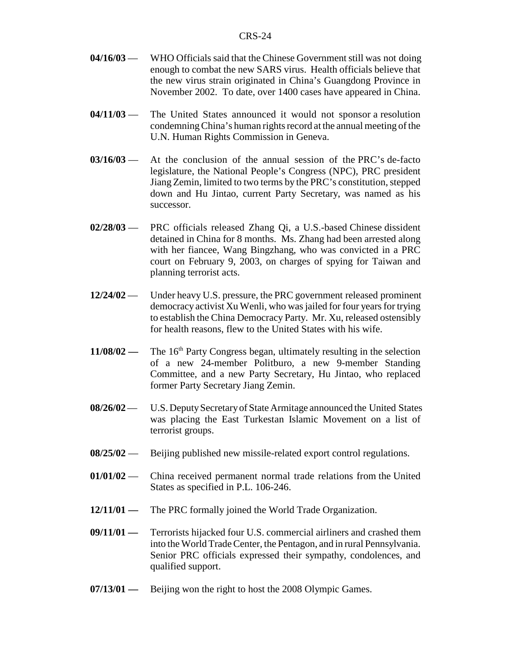- **04/16/03** WHO Officials said that the Chinese Government still was not doing enough to combat the new SARS virus. Health officials believe that the new virus strain originated in China's Guangdong Province in November 2002. To date, over 1400 cases have appeared in China.
- **04/11/03** The United States announced it would not sponsor a resolution condemning China's human rights record at the annual meeting of the U.N. Human Rights Commission in Geneva.
- **03/16/03** At the conclusion of the annual session of the PRC's de-facto legislature, the National People's Congress (NPC), PRC president Jiang Zemin, limited to two terms by the PRC's constitution, stepped down and Hu Jintao, current Party Secretary, was named as his successor.
- **02/28/03** PRC officials released Zhang Qi, a U.S.-based Chinese dissident detained in China for 8 months. Ms. Zhang had been arrested along with her fiancee, Wang Bingzhang, who was convicted in a PRC court on February 9, 2003, on charges of spying for Taiwan and planning terrorist acts.
- **12/24/02** Under heavy U.S. pressure, the PRC government released prominent democracy activist Xu Wenli, who was jailed for four years for trying to establish the China Democracy Party. Mr. Xu, released ostensibly for health reasons, flew to the United States with his wife.
- **11/08/02** The 16<sup>th</sup> Party Congress began, ultimately resulting in the selection of a new 24-member Politburo, a new 9-member Standing Committee, and a new Party Secretary, Hu Jintao, who replaced former Party Secretary Jiang Zemin.
- **08/26/02** U.S. Deputy Secretary of State Armitage announced the United States was placing the East Turkestan Islamic Movement on a list of terrorist groups.
- **08/25/02** Beijing published new missile-related export control regulations.
- **01/01/02** China received permanent normal trade relations from the United States as specified in P.L. 106-246.
- **12/11/01 —** The PRC formally joined the World Trade Organization.
- **09/11/01 —** Terrorists hijacked four U.S. commercial airliners and crashed them into the World Trade Center, the Pentagon, and in rural Pennsylvania. Senior PRC officials expressed their sympathy, condolences, and qualified support.
- **07/13/01** Beijing won the right to host the 2008 Olympic Games.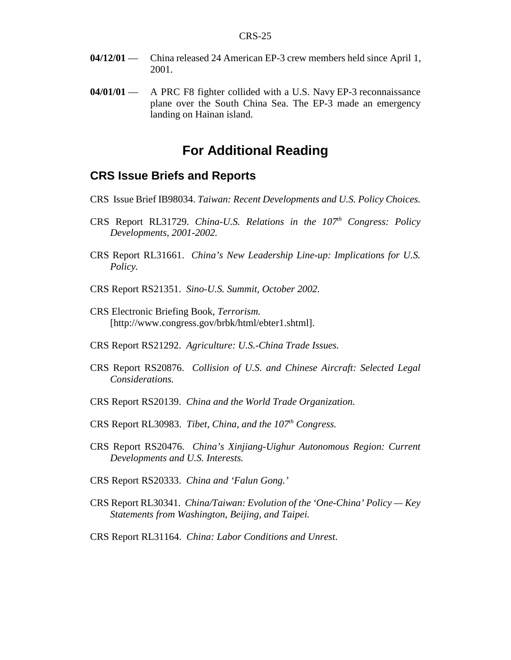- **04/12/01** China released 24 American EP-3 crew members held since April 1, 2001.
- **04/01/01** A PRC F8 fighter collided with a U.S. Navy EP-3 reconnaissance plane over the South China Sea. The EP-3 made an emergency landing on Hainan island.

### **For Additional Reading**

### **CRS Issue Briefs and Reports**

- CRS Issue Brief IB98034. *Taiwan: Recent Developments and U.S. Policy Choices.*
- CRS Report RL31729. *China-U.S. Relations in the 107th Congress: Policy Developments, 2001-2002.*
- CRS Report RL31661. *China's New Leadership Line-up: Implications for U.S. Policy.*
- CRS Report RS21351. *Sino-U.S. Summit, October 2002.*
- CRS Electronic Briefing Book, *Terrorism.* [http://www.congress.gov/brbk/html/ebter1.shtml].
- CRS Report RS21292. *Agriculture: U.S.-China Trade Issues.*
- CRS Report RS20876. *Collision of U.S. and Chinese Aircraft: Selected Legal Considerations.*
- CRS Report RS20139. *China and the World Trade Organization.*
- CRS Report RL30983. *Tibet, China, and the 107th Congress.*
- CRS Report RS20476. *China's Xinjiang-Uighur Autonomous Region: Current Developments and U.S. Interests.*
- CRS Report RS20333. *China and 'Falun Gong.'*
- CRS Report RL30341. *China/Taiwan: Evolution of the 'One-China' Policy Key Statements from Washington, Beijing, and Taipei.*
- CRS Report RL31164. *China: Labor Conditions and Unrest*.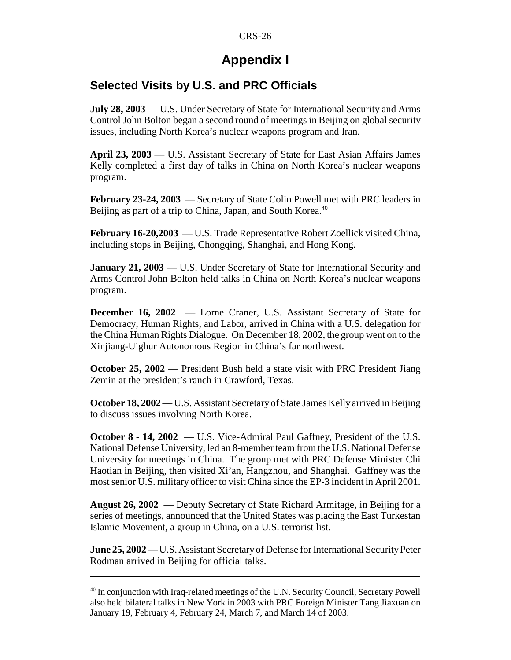## **Appendix I**

### **Selected Visits by U.S. and PRC Officials**

**July 28, 2003** — U.S. Under Secretary of State for International Security and Arms Control John Bolton began a second round of meetings in Beijing on global security issues, including North Korea's nuclear weapons program and Iran.

**April 23, 2003** — U.S. Assistant Secretary of State for East Asian Affairs James Kelly completed a first day of talks in China on North Korea's nuclear weapons program.

**February 23-24, 2003** — Secretary of State Colin Powell met with PRC leaders in Beijing as part of a trip to China, Japan, and South Korea.<sup>40</sup>

**February 16-20,2003** — U.S. Trade Representative Robert Zoellick visited China, including stops in Beijing, Chongqing, Shanghai, and Hong Kong.

**January 21, 2003** — U.S. Under Secretary of State for International Security and Arms Control John Bolton held talks in China on North Korea's nuclear weapons program.

**December 16, 2002** — Lorne Craner, U.S. Assistant Secretary of State for Democracy, Human Rights, and Labor, arrived in China with a U.S. delegation for the China Human Rights Dialogue. On December 18, 2002, the group went on to the Xinjiang-Uighur Autonomous Region in China's far northwest.

**October 25, 2002** — President Bush held a state visit with PRC President Jiang Zemin at the president's ranch in Crawford, Texas.

**October 18, 2002**— U.S. Assistant Secretary of State James Kelly arrived in Beijing to discuss issues involving North Korea.

**October 8 - 14, 2002** — U.S. Vice-Admiral Paul Gaffney, President of the U.S. National Defense University, led an 8-member team from the U.S. National Defense University for meetings in China. The group met with PRC Defense Minister Chi Haotian in Beijing, then visited Xi'an, Hangzhou, and Shanghai. Gaffney was the most senior U.S. military officer to visit China since the EP-3 incident in April 2001.

**August 26, 2002** — Deputy Secretary of State Richard Armitage, in Beijing for a series of meetings, announced that the United States was placing the East Turkestan Islamic Movement, a group in China, on a U.S. terrorist list.

**June 25, 2002**—U.S. Assistant Secretary of Defense for International Security Peter Rodman arrived in Beijing for official talks.

 $^{40}$  In conjunction with Iraq-related meetings of the U.N. Security Council, Secretary Powell also held bilateral talks in New York in 2003 with PRC Foreign Minister Tang Jiaxuan on January 19, February 4, February 24, March 7, and March 14 of 2003.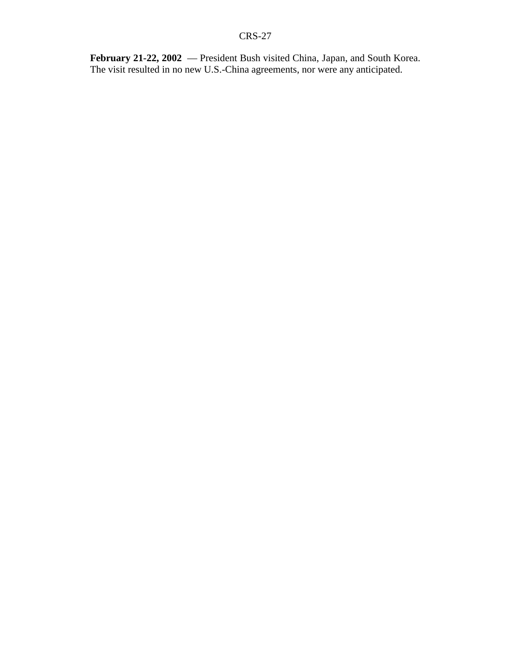**February 21-22, 2002** — President Bush visited China, Japan, and South Korea. The visit resulted in no new U.S.-China agreements, nor were any anticipated.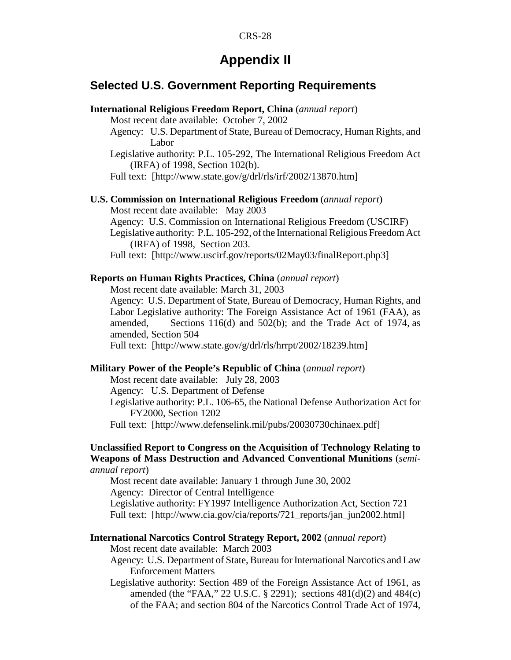#### CRS-28

### **Appendix II**

### **Selected U.S. Government Reporting Requirements**

| International Religious Freedom Report, China (annual report)                                                                                          |  |
|--------------------------------------------------------------------------------------------------------------------------------------------------------|--|
| Most recent date available: October 7, 2002                                                                                                            |  |
| Agency: U.S. Department of State, Bureau of Democracy, Human Rights, and                                                                               |  |
| Labor                                                                                                                                                  |  |
| Legislative authority: P.L. 105-292, The International Religious Freedom Act                                                                           |  |
| (IRFA) of 1998, Section 102(b).                                                                                                                        |  |
| Full text: [http://www.state.gov/g/drl/rls/irf/2002/13870.htm]                                                                                         |  |
| <b>U.S. Commission on International Religious Freedom</b> (annual report)                                                                              |  |
| Most recent date available: May 2003                                                                                                                   |  |
| Agency: U.S. Commission on International Religious Freedom (USCIRF)                                                                                    |  |
| Legislative authority: P.L. 105-292, of the International Religious Freedom Act<br>(IRFA) of 1998, Section 203.                                        |  |
| Full text: [http://www.uscirf.gov/reports/02May03/finalReport.php3]                                                                                    |  |
| <b>Reports on Human Rights Practices, China</b> (annual report)                                                                                        |  |
| Most recent date available: March 31, 2003                                                                                                             |  |
| Agency: U.S. Department of State, Bureau of Democracy, Human Rights, and                                                                               |  |
| Labor Legislative authority: The Foreign Assistance Act of 1961 (FAA), as<br>Sections 116(d) and 502(b); and the Trade Act of 1974, as<br>amended,     |  |
| amended, Section 504                                                                                                                                   |  |
| Full text: [http://www.state.gov/g/drl/rls/hrrpt/2002/18239.htm]                                                                                       |  |
| Military Power of the People's Republic of China (annual report)                                                                                       |  |
| Most recent date available: July 28, 2003                                                                                                              |  |
| Agency: U.S. Department of Defense                                                                                                                     |  |
| Legislative authority: P.L. 106-65, the National Defense Authorization Act for<br>FY2000, Section 1202                                                 |  |
| Full text: [http://www.defenselink.mil/pubs/20030730chinaex.pdf]                                                                                       |  |
| Unclassified Report to Congress on the Acquisition of Technology Relating to<br>Weapons of Mass Destruction and Advanced Conventional Munitions (semi- |  |
| annual report)                                                                                                                                         |  |
| Most recent date available: January 1 through June 30, 2002<br>Agency: Director of Central Intelligence                                                |  |
| Legislative authority: FY1997 Intelligence Authorization Act, Section 721                                                                              |  |
|                                                                                                                                                        |  |

Full text: [http://www.cia.gov/cia/reports/721\_reports/jan\_jun2002.html]

### **International Narcotics Control Strategy Report, 2002** (*annual report*)

Most recent date available: March 2003

Agency: U.S. Department of State, Bureau for International Narcotics and Law Enforcement Matters

Legislative authority: Section 489 of the Foreign Assistance Act of 1961, as amended (the "FAA," 22 U.S.C. § 2291); sections 481(d)(2) and 484(c) of the FAA; and section 804 of the Narcotics Control Trade Act of 1974,